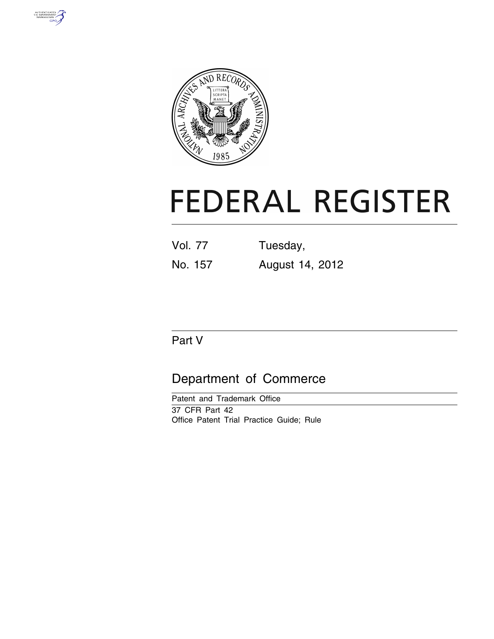



# **FEDERAL REGISTER**

| Vol. 77 | Tuesday, |
|---------|----------|
|         |          |

No. 157 August 14, 2012

# Part V

# Department of Commerce

Patent and Trademark Office 37 CFR Part 42 Office Patent Trial Practice Guide; Rule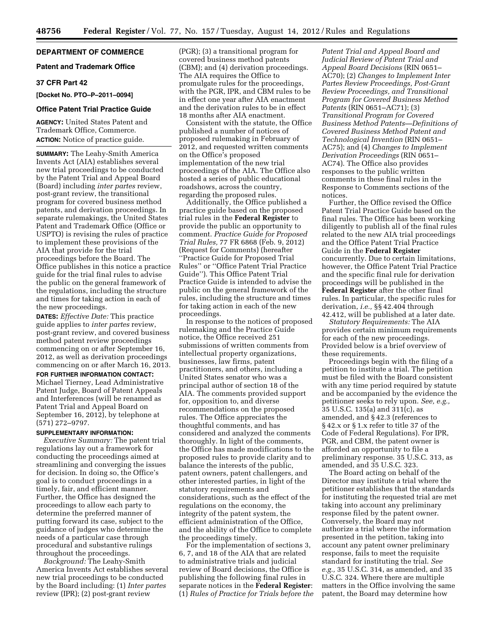# **DEPARTMENT OF COMMERCE**

# **Patent and Trademark Office**

# **37 CFR Part 42**

# **[Docket No. PTO–P–2011–0094]**

# **Office Patent Trial Practice Guide**

**AGENCY:** United States Patent and Trademark Office, Commerce. **ACTION:** Notice of practice guide.

**SUMMARY:** The Leahy-Smith America Invents Act (AIA) establishes several new trial proceedings to be conducted by the Patent Trial and Appeal Board (Board) including *inter partes* review, post-grant review, the transitional program for covered business method patents, and derivation proceedings. In separate rulemakings, the United States Patent and Trademark Office (Office or USPTO) is revising the rules of practice to implement these provisions of the AIA that provide for the trial proceedings before the Board. The Office publishes in this notice a practice guide for the trial final rules to advise the public on the general framework of the regulations, including the structure and times for taking action in each of the new proceedings.

**DATES:** *Effective Date:* This practice guide applies to *inter partes* review, post-grant review, and covered business method patent review proceedings commencing on or after September 16, 2012, as well as derivation proceedings commencing on or after March 16, 2013.

**FOR FURTHER INFORMATION CONTACT:**  Michael Tierney, Lead Administrative Patent Judge, Board of Patent Appeals and Interferences (will be renamed as Patent Trial and Appeal Board on September 16, 2012), by telephone at (571) 272–9797.

# **SUPPLEMENTARY INFORMATION:**

*Executive Summary:* The patent trial regulations lay out a framework for conducting the proceedings aimed at streamlining and converging the issues for decision. In doing so, the Office's goal is to conduct proceedings in a timely, fair, and efficient manner. Further, the Office has designed the proceedings to allow each party to determine the preferred manner of putting forward its case, subject to the guidance of judges who determine the needs of a particular case through procedural and substantive rulings throughout the proceedings.

*Background:* The Leahy-Smith America Invents Act establishes several new trial proceedings to be conducted by the Board including: (1) *Inter partes*  review (IPR); (2) post-grant review

(PGR); (3) a transitional program for covered business method patents (CBM); and (4) derivation proceedings. The AIA requires the Office to promulgate rules for the proceedings, with the PGR, IPR, and CBM rules to be in effect one year after AIA enactment and the derivation rules to be in effect 18 months after AIA enactment.

Consistent with the statute, the Office published a number of notices of proposed rulemaking in February of 2012, and requested written comments on the Office's proposed implementation of the new trial proceedings of the AIA. The Office also hosted a series of public educational roadshows, across the country, regarding the proposed rules.

Additionally, the Office published a practice guide based on the proposed trial rules in the **Federal Register** to provide the public an opportunity to comment. *Practice Guide for Proposed Trial Rules,* 77 FR 6868 (Feb. 9, 2012) (Request for Comments) (hereafter ''Practice Guide for Proposed Trial Rules'' or ''Office Patent Trial Practice Guide''). This Office Patent Trial Practice Guide is intended to advise the public on the general framework of the rules, including the structure and times for taking action in each of the new proceedings.

In response to the notices of proposed rulemaking and the Practice Guide notice, the Office received 251 submissions of written comments from intellectual property organizations, businesses, law firms, patent practitioners, and others, including a United States senator who was a principal author of section 18 of the AIA. The comments provided support for, opposition to, and diverse recommendations on the proposed rules. The Office appreciates the thoughtful comments, and has considered and analyzed the comments thoroughly. In light of the comments, the Office has made modifications to the proposed rules to provide clarity and to balance the interests of the public, patent owners, patent challengers, and other interested parties, in light of the statutory requirements and considerations, such as the effect of the regulations on the economy, the integrity of the patent system, the efficient administration of the Office, and the ability of the Office to complete the proceedings timely.

For the implementation of sections 3, 6, 7, and 18 of the AIA that are related to administrative trials and judicial review of Board decisions, the Office is publishing the following final rules in separate notices in the **Federal Register**: (1) *Rules of Practice for Trials before the*  *Patent Trial and Appeal Board and Judicial Review of Patent Trial and Appeal Board Decisions* (RIN 0651– AC70); (2) *Changes to Implement Inter Partes Review Proceedings, Post-Grant Review Proceedings, and Transitional Program for Covered Business Method Patents* (RIN 0651–AC71); (3) *Transitional Program for Covered Business Method Patents—Definitions of Covered Business Method Patent and Technological Invention* (RIN 0651– AC75); and (4) *Changes to Implement Derivation Proceedings* (RIN 0651– AC74). The Office also provides responses to the public written comments in these final rules in the Response to Comments sections of the notices.

Further, the Office revised the Office Patent Trial Practice Guide based on the final rules. The Office has been working diligently to publish all of the final rules related to the new AIA trial proceedings and the Office Patent Trial Practice Guide in the **Federal Register**  concurrently. Due to certain limitations, however, the Office Patent Trial Practice and the specific final rule for derivation proceedings will be published in the **Federal Register** after the other final rules. In particular, the specific rules for derivation, *i.e.,* §§ 42.404 through 42.412, will be published at a later date.

*Statutory Requirements:* The AIA provides certain minimum requirements for each of the new proceedings. Provided below is a brief overview of these requirements.

Proceedings begin with the filing of a petition to institute a trial. The petition must be filed with the Board consistent with any time period required by statute and be accompanied by the evidence the petitioner seeks to rely upon. *See, e.g.,*   $35 \text{ U.S.C. } 135 \text{ (a) and } 311 \text{ (c), as}$ amended, and § 42.3 (references to § 42.x or § 1.x refer to title 37 of the Code of Federal Regulations). For IPR, PGR, and CBM, the patent owner is afforded an opportunity to file a preliminary response. 35 U.S.C. 313, as amended, and 35 U.S.C. 323.

The Board acting on behalf of the Director may institute a trial where the petitioner establishes that the standards for instituting the requested trial are met taking into account any preliminary response filed by the patent owner. Conversely, the Board may not authorize a trial where the information presented in the petition, taking into account any patent owner preliminary response, fails to meet the requisite standard for instituting the trial. *See e.g.,* 35 U.S.C. 314, as amended, and 35 U.S.C. 324. Where there are multiple matters in the Office involving the same patent, the Board may determine how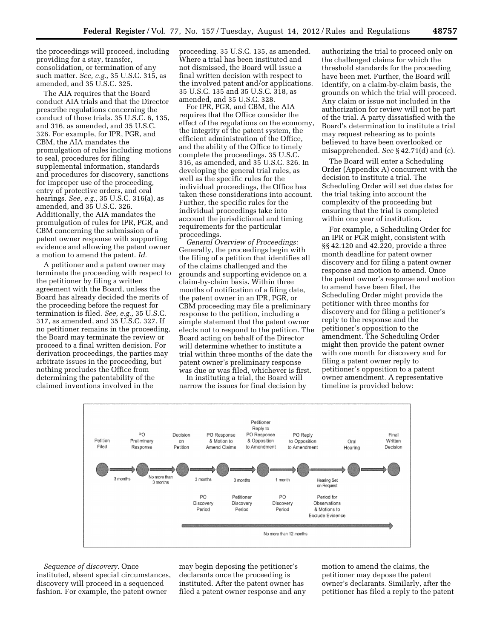the proceedings will proceed, including providing for a stay, transfer, consolidation, or termination of any such matter. *See, e.g.,* 35 U.S.C. 315, as amended, and 35 U.S.C. 325.

The AIA requires that the Board conduct AIA trials and that the Director prescribe regulations concerning the conduct of those trials. 35 U.S.C. 6, 135, and 316, as amended, and 35 U.S.C. 326. For example, for IPR, PGR, and CBM, the AIA mandates the promulgation of rules including motions to seal, procedures for filing supplemental information, standards and procedures for discovery, sanctions for improper use of the proceeding, entry of protective orders, and oral hearings. *See, e.g.,* 35 U.S.C. 316(a), as amended, and 35 U.S.C. 326. Additionally, the AIA mandates the promulgation of rules for IPR, PGR, and CBM concerning the submission of a patent owner response with supporting evidence and allowing the patent owner a motion to amend the patent. *Id.* 

A petitioner and a patent owner may terminate the proceeding with respect to the petitioner by filing a written agreement with the Board, unless the Board has already decided the merits of the proceeding before the request for termination is filed. *See, e.g.,* 35 U.S.C. 317, as amended, and 35 U.S.C. 327. If no petitioner remains in the proceeding, the Board may terminate the review or proceed to a final written decision. For derivation proceedings, the parties may arbitrate issues in the proceeding, but nothing precludes the Office from determining the patentability of the claimed inventions involved in the

proceeding. 35 U.S.C. 135, as amended. Where a trial has been instituted and not dismissed, the Board will issue a final written decision with respect to the involved patent and/or applications. 35 U.S.C. 135 and 35 U.S.C. 318, as amended, and 35 U.S.C. 328.

For IPR, PGR, and CBM, the AIA requires that the Office consider the effect of the regulations on the economy, the integrity of the patent system, the efficient administration of the Office, and the ability of the Office to timely complete the proceedings. 35 U.S.C. 316, as amended, and 35 U.S.C. 326. In developing the general trial rules, as well as the specific rules for the individual proceedings, the Office has taken these considerations into account. Further, the specific rules for the individual proceedings take into account the jurisdictional and timing requirements for the particular proceedings.

*General Overview of Proceedings:*  Generally, the proceedings begin with the filing of a petition that identifies all of the claims challenged and the grounds and supporting evidence on a claim-by-claim basis. Within three months of notification of a filing date, the patent owner in an IPR, PGR, or CBM proceeding may file a preliminary response to the petition, including a simple statement that the patent owner elects not to respond to the petition. The Board acting on behalf of the Director will determine whether to institute a trial within three months of the date the patent owner's preliminary response was due or was filed, whichever is first.

In instituting a trial, the Board will narrow the issues for final decision by

authorizing the trial to proceed only on the challenged claims for which the threshold standards for the proceeding have been met. Further, the Board will identify, on a claim-by-claim basis, the grounds on which the trial will proceed. Any claim or issue not included in the authorization for review will not be part of the trial. A party dissatisfied with the Board's determination to institute a trial may request rehearing as to points believed to have been overlooked or misapprehended. *See* § 42.71(d) and (c).

The Board will enter a Scheduling Order (Appendix A) concurrent with the decision to institute a trial. The Scheduling Order will set due dates for the trial taking into account the complexity of the proceeding but ensuring that the trial is completed within one year of institution.

For example, a Scheduling Order for an IPR or PGR might, consistent with §§ 42.120 and 42.220, provide a three month deadline for patent owner discovery and for filing a patent owner response and motion to amend. Once the patent owner's response and motion to amend have been filed, the Scheduling Order might provide the petitioner with three months for discovery and for filing a petitioner's reply to the response and the petitioner's opposition to the amendment. The Scheduling Order might then provide the patent owner with one month for discovery and for filing a patent owner reply to petitioner's opposition to a patent owner amendment. A representative timeline is provided below:



*Sequence of discovery.* Once instituted, absent special circumstances, discovery will proceed in a sequenced fashion. For example, the patent owner

may begin deposing the petitioner's declarants once the proceeding is instituted. After the patent owner has filed a patent owner response and any motion to amend the claims, the petitioner may depose the patent owner's declarants. Similarly, after the petitioner has filed a reply to the patent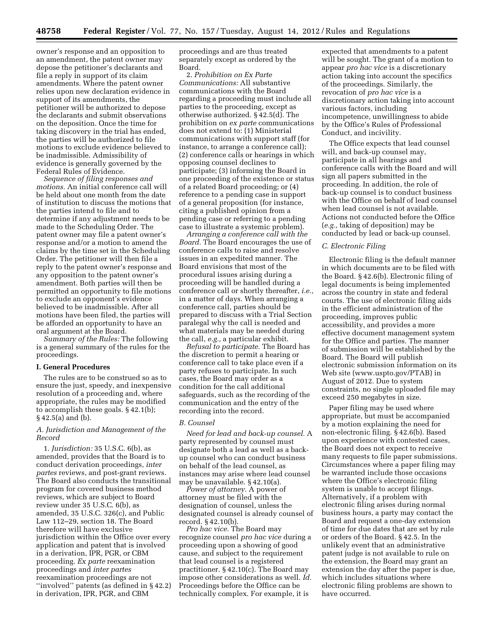owner's response and an opposition to an amendment, the patent owner may depose the petitioner's declarants and file a reply in support of its claim amendments. Where the patent owner relies upon new declaration evidence in support of its amendments, the petitioner will be authorized to depose the declarants and submit observations on the deposition. Once the time for taking discovery in the trial has ended, the parties will be authorized to file motions to exclude evidence believed to be inadmissible. Admissibility of evidence is generally governed by the Federal Rules of Evidence.

*Sequence of filing responses and motions.* An initial conference call will be held about one month from the date of institution to discuss the motions that the parties intend to file and to determine if any adjustment needs to be made to the Scheduling Order. The patent owner may file a patent owner's response and/or a motion to amend the claims by the time set in the Scheduling Order. The petitioner will then file a reply to the patent owner's response and any opposition to the patent owner's amendment. Both parties will then be permitted an opportunity to file motions to exclude an opponent's evidence believed to be inadmissible. After all motions have been filed, the parties will be afforded an opportunity to have an oral argument at the Board.

*Summary of the Rules:* The following is a general summary of the rules for the proceedings.

# **I. General Procedures**

The rules are to be construed so as to ensure the just, speedy, and inexpensive resolution of a proceeding and, where appropriate, the rules may be modified to accomplish these goals. § 42.1(b); § 42.5(a) and (b).

# *A. Jurisdiction and Management of the Record*

1. *Jurisdiction:* 35 U.S.C. 6(b), as amended, provides that the Board is to conduct derivation proceedings, *inter partes* reviews, and post-grant reviews. The Board also conducts the transitional program for covered business method reviews, which are subject to Board review under 35 U.S.C. 6(b), as amended, 35 U.S.C. 326(c), and Public Law 112–29, section 18. The Board therefore will have exclusive jurisdiction within the Office over every application and patent that is involved in a derivation, IPR, PGR, or CBM proceeding. *Ex parte* reexamination proceedings and *inter partes*  reexamination proceedings are not ''involved'' patents (as defined in § 42.2) in derivation, IPR, PGR, and CBM

proceedings and are thus treated separately except as ordered by the Board.

2. *Prohibition on Ex Parte Communications:* All substantive communications with the Board regarding a proceeding must include all parties to the proceeding, except as otherwise authorized. § 42.5(d). The prohibition on *ex parte* communications does not extend to: (1) Ministerial communications with support staff (for instance, to arrange a conference call); (2) conference calls or hearings in which opposing counsel declines to participate; (3) informing the Board in one proceeding of the existence or status of a related Board proceeding; or (4) reference to a pending case in support of a general proposition (for instance, citing a published opinion from a pending case or referring to a pending case to illustrate a systemic problem).

*Arranging a conference call with the Board.* The Board encourages the use of conference calls to raise and resolve issues in an expedited manner. The Board envisions that most of the procedural issues arising during a proceeding will be handled during a conference call or shortly thereafter, *i.e.,*  in a matter of days. When arranging a conference call, parties should be prepared to discuss with a Trial Section paralegal why the call is needed and what materials may be needed during the call, *e.g.,* a particular exhibit.

*Refusal to participate.* The Board has the discretion to permit a hearing or conference call to take place even if a party refuses to participate. In such cases, the Board may order as a condition for the call additional safeguards, such as the recording of the communication and the entry of the recording into the record.

#### *B. Counsel*

*Need for lead and back-up counsel.* A party represented by counsel must designate both a lead as well as a backup counsel who can conduct business on behalf of the lead counsel, as instances may arise where lead counsel may be unavailable. § 42.10(a).

*Power of attorney.* A power of attorney must be filed with the designation of counsel, unless the designated counsel is already counsel of record. § 42.10(b).

*Pro hac vice.* The Board may recognize counsel *pro hac vice* during a proceeding upon a showing of good cause, and subject to the requirement that lead counsel is a registered practitioner. § 42.10(c). The Board may impose other considerations as well. *Id.*  Proceedings before the Office can be technically complex. For example, it is

expected that amendments to a patent will be sought. The grant of a motion to appear *pro hac vice* is a discretionary action taking into account the specifics of the proceedings. Similarly, the revocation of *pro hac vice* is a discretionary action taking into account various factors, including incompetence, unwillingness to abide by the Office's Rules of Professional Conduct, and incivility.

The Office expects that lead counsel will, and back-up counsel may, participate in all hearings and conference calls with the Board and will sign all papers submitted in the proceeding. In addition, the role of back-up counsel is to conduct business with the Office on behalf of lead counsel when lead counsel is not available. Actions not conducted before the Office (*e.g.,* taking of deposition) may be conducted by lead or back-up counsel.

#### *C. Electronic Filing*

Electronic filing is the default manner in which documents are to be filed with the Board. § 42.6(b). Electronic filing of legal documents is being implemented across the country in state and federal courts. The use of electronic filing aids in the efficient administration of the proceeding, improves public accessibility, and provides a more effective document management system for the Office and parties. The manner of submission will be established by the Board. The Board will publish electronic submission information on its Web site ([www.uspto.gov/](http://www.uspto.gov)PTAB) in August of 2012. Due to system constraints, no single uploaded file may exceed 250 megabytes in size.

Paper filing may be used where appropriate, but must be accompanied by a motion explaining the need for non-electronic filing. § 42.6(b). Based upon experience with contested cases, the Board does not expect to receive many requests to file paper submissions. Circumstances where a paper filing may be warranted include those occasions where the Office's electronic filing system is unable to accept filings. Alternatively, if a problem with electronic filing arises during normal business hours, a party may contact the Board and request a one-day extension of time for due dates that are set by rule or orders of the Board. § 42.5. In the unlikely event that an administrative patent judge is not available to rule on the extension, the Board may grant an extension the day after the paper is due, which includes situations where electronic filing problems are shown to have occurred.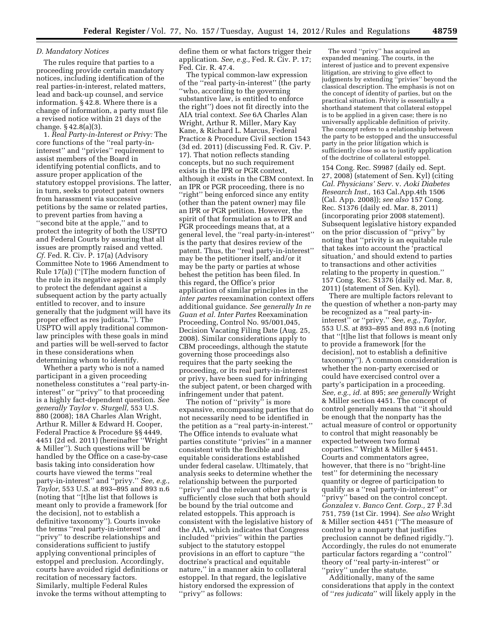# *D. Mandatory Notices*

The rules require that parties to a proceeding provide certain mandatory notices, including identification of the real parties-in-interest, related matters, lead and back-up counsel, and service information. § 42.8. Where there is a change of information, a party must file a revised notice within 21 days of the change. § 42.8(a)(3).

1. *Real Party-in-Interest or Privy:* The core functions of the ''real party-ininterest'' and ''privies'' requirement to assist members of the Board in identifying potential conflicts, and to assure proper application of the statutory estoppel provisions. The latter, in turn, seeks to protect patent owners from harassment via successive petitions by the same or related parties, to prevent parties from having a ''second bite at the apple,'' and to protect the integrity of both the USPTO and Federal Courts by assuring that all issues are promptly raised and vetted. *Cf.* Fed. R. Civ. P. 17(a) (Advisory Committee Note to 1966 Amendment to Rule 17(a)) (''[T]he modern function of the rule in its negative aspect is simply to protect the defendant against a subsequent action by the party actually entitled to recover, and to insure generally that the judgment will have its proper effect as res judicata.''). The USPTO will apply traditional commonlaw principles with these goals in mind and parties will be well-served to factor in these considerations when determining whom to identify.

Whether a party who is not a named participant in a given proceeding nonetheless constitutes a ''real party-ininterest'' or ''privy'' to that proceeding is a highly fact-dependent question. *See generally Taylor* v. *Sturgell,* 553 U.S. 880 (2008); 18A Charles Alan Wright, Arthur R. Miller & Edward H. Cooper, Federal Practice & Procedure §§ 4449, 4451 (2d ed. 2011) (hereinafter ''Wright & Miller''). Such questions will be handled by the Office on a case-by-case basis taking into consideration how courts have viewed the terms ''real party-in-interest'' and ''privy.'' *See, e.g., Taylor,* 553 U.S. at 893–895 and 893 n.6 (noting that ''[t]he list that follows is meant only to provide a framework [for the decision], not to establish a definitive taxonomy''). Courts invoke the terms ''real party-in-interest'' and ''privy'' to describe relationships and considerations sufficient to justify applying conventional principles of estoppel and preclusion. Accordingly, courts have avoided rigid definitions or recitation of necessary factors. Similarly, multiple Federal Rules invoke the terms without attempting to

define them or what factors trigger their application. *See, e.g.,* Fed. R. Civ. P. 17; Fed. Cir. R. 47.4.

The typical common-law expression of the ''real party-in-interest'' (the party ''who, according to the governing substantive law, is entitled to enforce the right'') does not fit directly into the AIA trial context. *See* 6A Charles Alan Wright, Arthur R. Miller, Mary Kay Kane, & Richard L. Marcus, Federal Practice & Procedure Civil section 1543 (3d ed. 2011) (discussing Fed. R. Civ. P. 17). That notion reflects standing concepts, but no such requirement exists in the IPR or PGR context, although it exists in the CBM context. In an IPR or PGR proceeding, there is no "right" being enforced since any entity (other than the patent owner) may file an IPR or PGR petition. However, the spirit of that formulation as to IPR and PGR proceedings means that, at a general level, the ''real party-in-interest'' is the party that desires review of the patent. Thus, the ''real party-in-interest'' may be the petitioner itself, and/or it may be the party or parties at whose behest the petition has been filed. In this regard, the Office's prior application of similar principles in the *inter partes* reexamination context offers additional guidance. *See generally In re Guan et al. Inter Partes* Reexamination Proceeding, Control No. 95/001,045, Decision Vacating Filing Date (Aug. 25, 2008). Similar considerations apply to CBM proceedings, although the statute governing those proceedings also requires that the party seeking the proceeding, or its real party-in-interest or privy, have been sued for infringing the subject patent, or been charged with infringement under that patent.

The notion of ''privity'' is more expansive, encompassing parties that do not necessarily need to be identified in the petition as a ''real party-in-interest.'' The Office intends to evaluate what parties constitute ''privies'' in a manner consistent with the flexible and equitable considerations established under federal caselaw. Ultimately, that analysis seeks to determine whether the relationship between the purported ''privy'' and the relevant other party is sufficiently close such that both should be bound by the trial outcome and related estoppels. This approach is consistent with the legislative history of the AIA, which indicates that Congress included ''privies'' within the parties subject to the statutory estoppel provisions in an effort to capture ''the doctrine's practical and equitable nature,'' in a manner akin to collateral estoppel. In that regard, the legislative history endorsed the expression of ''privy'' as follows:

The word ''privy'' has acquired an expanded meaning. The courts, in the interest of justice and to prevent expensive litigation, are striving to give effect to judgments by extending ''privies'' beyond the classical description. The emphasis is not on the concept of identity of parties, but on the practical situation. Privity is essentially a shorthand statement that collateral estoppel is to be applied in a given case; there is no universally applicable definition of privity. The concept refers to a relationship between the party to be estopped and the unsuccessful party in the prior litigation which is sufficiently close so as to justify application of the doctrine of collateral estoppel.

154 Cong. Rec. S9987 (daily ed. Sept. 27, 2008) (statement of Sen. Kyl) (citing *Cal. Physicians' Serv.* v. *Aoki Diabetes Research Inst.,* 163 Cal.App.4th 1506 (Cal. App. 2008)); *see also* 157 Cong. Rec. S1376 (daily ed. Mar. 8, 2011) (incorporating prior 2008 statement). Subsequent legislative history expanded on the prior discussion of ''privy'' by noting that ''privity is an equitable rule that takes into account the 'practical situation,' and should extend to parties to transactions and other activities relating to the property in question.'' 157 Cong. Rec. S1376 (daily ed. Mar. 8, 2011) (statement of Sen. Kyl).

There are multiple factors relevant to the question of whether a non-party may be recognized as a ''real party-ininterest'' or ''privy.'' *See, e.g., Taylor,*  553 U.S. at 893–895 and 893 n.6 (noting that ''[t]he list that follows is meant only to provide a framework [for the decision], not to establish a definitive taxonomy''). A common consideration is whether the non-party exercised or could have exercised control over a party's participation in a proceeding. *See, e.g., id.* at 895; *see generally* Wright & Miller section 4451. The concept of control generally means that ''it should be enough that the nonparty has the actual measure of control or opportunity to control that might reasonably be expected between two formal coparties.'' Wright & Miller § 4451. Courts and commentators agree, however, that there is no ''bright-line test'' for determining the necessary quantity or degree of participation to qualify as a ''real party-in-interest'' or ''privy'' based on the control concept. *Gonzalez* v. *Banco Cent. Corp.,* 27 F.3d 751, 759 (1st Cir. 1994). *See also* Wright & Miller section 4451 (''The measure of control by a nonparty that justifies preclusion cannot be defined rigidly.''). Accordingly, the rules do not enumerate particular factors regarding a ''control'' theory of ''real party-in-interest'' or ''privy'' under the statute.

Additionally, many of the same considerations that apply in the context of ''*res judicata*'' will likely apply in the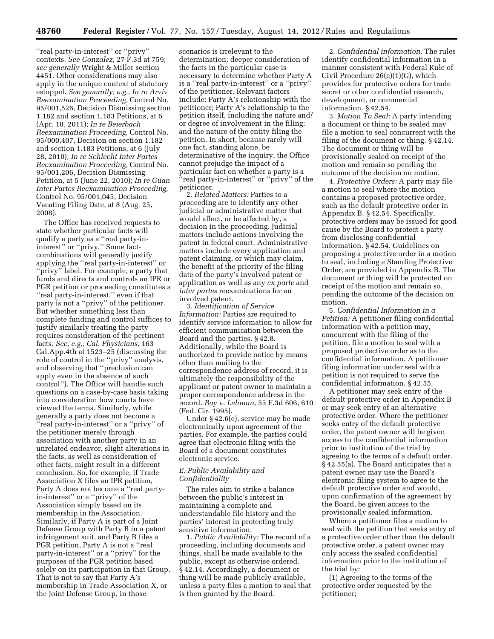''real party-in-interest'' or ''privy'' contexts. *See Gonzalez,* 27 F.3d at 759; *see generally* Wright & Miller section 4451. Other considerations may also apply in the unique context of statutory estoppel. *See generally, e.g., In re Arviv Reexamination Proceeding,* Control No. 95/001,526, Decision Dismissing section 1.182 and section 1.183 Petitions, at 6 (Apr. 18, 2011); *In re Beierbach Reexamination Proceeding,* Control No. 95/000,407, Decision on section 1.182 and section 1.183 Petitions, at 6 (July 28, 2010); *In re Schlecht Inter Partes Reexamination Proceeding,* Control No. 95/001,206, Decision Dismissing Petition, at 5 (June 22, 2010); *In re Guan Inter Partes Reexamination Proceeding,*  Control No. 95/001,045, Decision Vacating Filing Date, at 8 (Aug. 25, 2008).

The Office has received requests to state whether particular facts will qualify a party as a ''real party-ininterest'' or ''privy.'' Some factcombinations will generally justify applying the ''real party-in-interest'' or ''privy'' label. For example, a party that funds and directs and controls an IPR or PGR petition or proceeding constitutes a ''real party-in-interest,'' even if that party is not a ''privy'' of the petitioner. But whether something less than complete funding and control suffices to justify similarly treating the party requires consideration of the pertinent facts. *See, e.g., Cal. Physicians,* 163 Cal.App.4th at 1523–25 (discussing the role of control in the ''privy'' analysis, and observing that ''preclusion can apply even in the absence of such control''). The Office will handle such questions on a case-by-case basis taking into consideration how courts have viewed the terms. Similarly, while generally a party does not become a ''real party-in-interest'' or a ''privy'' of the petitioner merely through association with another party in an unrelated endeavor, slight alterations in the facts, as well as consideration of other facts, might result in a different conclusion. So, for example, if Trade Association X files an IPR petition, Party A does not become a ''real partyin-interest'' or a ''privy'' of the Association simply based on its membership in the Association. Similarly, if Party A is part of a Joint Defense Group with Party B in a patent infringement suit, and Party B files a PGR petition, Party A is not a ''real party-in-interest'' or a ''privy'' for the purposes of the PGR petition based solely on its participation in that Group. That is not to say that Party A's membership in Trade Association X, or the Joint Defense Group, in those

scenarios is irrelevant to the determination; deeper consideration of the facts in the particular case is necessary to determine whether Party A is a ''real party-in-interest'' or a ''privy'' of the petitioner. Relevant factors include: Party A's relationship with the petitioner; Party A's relationship to the petition itself, including the nature and/ or degree of involvement in the filing; and the nature of the entity filing the petition. In short, because rarely will one fact, standing alone, be determinative of the inquiry, the Office cannot prejudge the impact of a particular fact on whether a party is a ''real party-in-interest'' or ''privy'' of the petitioner.

2. *Related Matters:* Parties to a proceeding are to identify any other judicial or administrative matter that would affect, or be affected by, a decision in the proceeding. Judicial matters include actions involving the patent in federal court. Administrative matters include every application and patent claiming, or which may claim, the benefit of the priority of the filing date of the party's involved patent or application as well as any *ex parte* and *inter partes* reexaminations for an involved patent.

3. *Identification of Service Information:* Parties are required to identify service information to allow for efficient communication between the Board and the parties. § 42.8. Additionally, while the Board is authorized to provide notice by means other than mailing to the correspondence address of record, it is ultimately the responsibility of the applicant or patent owner to maintain a proper correspondence address in the record. *Ray* v. *Lehman,* 55 F.3d 606, 610 (Fed. Cir. 1995).

Under § 42.6(e), service may be made electronically upon agreement of the parties. For example, the parties could agree that electronic filing with the Board of a document constitutes electronic service.

# *E. Public Availability and Confidentiality*

The rules aim to strike a balance between the public's interest in maintaining a complete and understandable file history and the parties' interest in protecting truly sensitive information.

1. *Public Availability:* The record of a proceeding, including documents and things, shall be made available to the public, except as otherwise ordered. § 42.14. Accordingly, a document or thing will be made publicly available, unless a party files a motion to seal that is then granted by the Board.

2. *Confidential information:* The rules identify confidential information in a manner consistent with Federal Rule of Civil Procedure 26(c)(1)(G), which provides for protective orders for trade secret or other confidential research, development, or commercial information. § 42.54.

3. *Motion To Seal:* A party intending a document or thing to be sealed may file a motion to seal concurrent with the filing of the document or thing. § 42.14. The document or thing will be provisionally sealed on receipt of the motion and remain so pending the outcome of the decision on motion.

4. *Protective Orders:* A party may file a motion to seal where the motion contains a proposed protective order, such as the default protective order in Appendix B. § 42.54. Specifically, protective orders may be issued for good cause by the Board to protect a party from disclosing confidential information. § 42.54. Guidelines on proposing a protective order in a motion to seal, including a Standing Protective Order, are provided in Appendix B. The document or thing will be protected on receipt of the motion and remain so, pending the outcome of the decision on motion.

5. *Confidential Information in a Petition:* A petitioner filing confidential information with a petition may, concurrent with the filing of the petition, file a motion to seal with a proposed protective order as to the confidential information. A petitioner filing information under seal with a petition is not required to serve the confidential information. § 42.55.

A petitioner may seek entry of the default protective order in Appendix B or may seek entry of an alternative protective order. Where the petitioner seeks entry of the default protective order, the patent owner will be given access to the confidential information prior to institution of the trial by agreeing to the terms of a default order. § 42.55(a). The Board anticipates that a patent owner may use the Board's electronic filing system to agree to the default protective order and would, upon confirmation of the agreement by the Board, be given access to the provisionally sealed information.

Where a petitioner files a motion to seal with the petition that seeks entry of a protective order other than the default protective order, a patent owner may only access the sealed confidential information prior to the institution of the trial by:

(1) Agreeing to the terms of the protective order requested by the petitioner;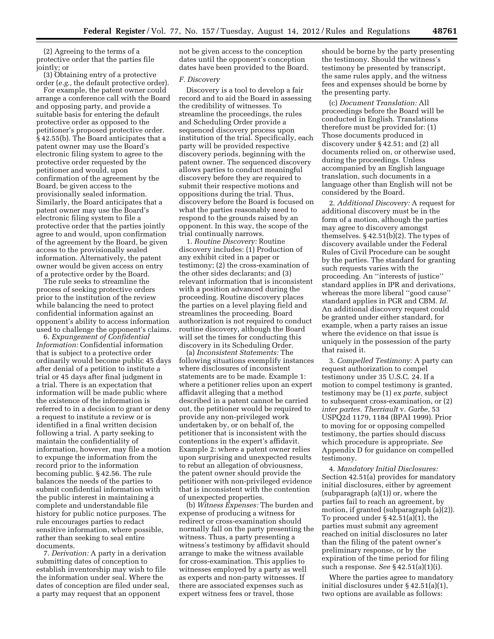(2) Agreeing to the terms of a protective order that the parties file jointly; or

(3) Obtaining entry of a protective order (*e.g.,* the default protective order).

For example, the patent owner could arrange a conference call with the Board and opposing party, and provide a suitable basis for entering the default protective order as opposed to the petitioner's proposed protective order. § 42.55(b). The Board anticipates that a patent owner may use the Board's electronic filing system to agree to the protective order requested by the petitioner and would, upon confirmation of the agreement by the Board, be given access to the provisionally sealed information. Similarly, the Board anticipates that a patent owner may use the Board's electronic filing system to file a protective order that the parties jointly agree to and would, upon confirmation of the agreement by the Board, be given access to the provisionally sealed information. Alternatively, the patent owner would be given access on entry of a protective order by the Board.

The rule seeks to streamline the process of seeking protective orders prior to the institution of the review while balancing the need to protect confidential information against an opponent's ability to access information used to challenge the opponent's claims.

6. *Expungement of Confidential Information:* Confidential information that is subject to a protective order ordinarily would become public 45 days after denial of a petition to institute a trial or 45 days after final judgment in a trial. There is an expectation that information will be made public where the existence of the information is referred to in a decision to grant or deny a request to institute a review or is identified in a final written decision following a trial. A party seeking to maintain the confidentiality of information, however, may file a motion to expunge the information from the record prior to the information becoming public. § 42.56. The rule balances the needs of the parties to submit confidential information with the public interest in maintaining a complete and understandable file history for public notice purposes. The rule encourages parties to redact sensitive information, where possible, rather than seeking to seal entire documents.

7. *Derivation:* A party in a derivation submitting dates of conception to establish inventorship may wish to file the information under seal. Where the dates of conception are filed under seal, a party may request that an opponent

not be given access to the conception dates until the opponent's conception dates have been provided to the Board.

# *F. Discovery*

Discovery is a tool to develop a fair record and to aid the Board in assessing the credibility of witnesses. To streamline the proceedings, the rules and Scheduling Order provide a sequenced discovery process upon institution of the trial. Specifically, each party will be provided respective discovery periods, beginning with the patent owner. The sequenced discovery allows parties to conduct meaningful discovery before they are required to submit their respective motions and oppositions during the trial. Thus, discovery before the Board is focused on what the parties reasonably need to respond to the grounds raised by an opponent. In this way, the scope of the trial continually narrows.

1. *Routine Discovery:* Routine discovery includes: (1) Production of any exhibit cited in a paper or testimony; (2) the cross-examination of the other sides declarants; and (3) relevant information that is inconsistent with a position advanced during the proceeding. Routine discovery places the parties on a level playing field and streamlines the proceeding. Board authorization is not required to conduct routine discovery, although the Board will set the times for conducting this discovery in its Scheduling Order.

(a) *Inconsistent Statements:* The following situations exemplify instances where disclosures of inconsistent statements are to be made. Example 1: where a petitioner relies upon an expert affidavit alleging that a method described in a patent cannot be carried out, the petitioner would be required to provide any non-privileged work undertaken by, or on behalf of, the petitioner that is inconsistent with the contentions in the expert's affidavit. Example 2: where a patent owner relies upon surprising and unexpected results to rebut an allegation of obviousness, the patent owner should provide the petitioner with non-privileged evidence that is inconsistent with the contention of unexpected properties.

(b) *Witness Expenses:* The burden and expense of producing a witness for redirect or cross-examination should normally fall on the party presenting the witness. Thus, a party presenting a witness's testimony by affidavit should arrange to make the witness available for cross-examination. This applies to witnesses employed by a party as well as experts and non-party witnesses. If there are associated expenses such as expert witness fees or travel, those

should be borne by the party presenting the testimony. Should the witness's testimony be presented by transcript, the same rules apply, and the witness fees and expenses should be borne by the presenting party.

(c) *Document Translation:* All proceedings before the Board will be conducted in English. Translations therefore must be provided for: (1) Those documents produced in discovery under § 42.51; and (2) all documents relied on, or otherwise used, during the proceedings. Unless accompanied by an English language translation, such documents in a language other than English will not be considered by the Board.

2. *Additional Discovery:* A request for additional discovery must be in the form of a motion, although the parties may agree to discovery amongst themselves. § 42.51(b)(2). The types of discovery available under the Federal Rules of Civil Procedure can be sought by the parties. The standard for granting such requests varies with the proceeding. An ''interests of justice'' standard applies in IPR and derivations, whereas the more liberal ''good cause'' standard applies in PGR and CBM. *Id.*  An additional discovery request could be granted under either standard, for example, when a party raises an issue where the evidence on that issue is uniquely in the possession of the party that raised it.

3. *Compelled Testimony:* A party can request authorization to compel testimony under 35 U.S.C. 24. If a motion to compel testimony is granted, testimony may be (1) *ex parte,* subject to subsequent cross-examination, or (2) *inter partes. Therriault* v. *Garbe,* 53 USPQ2d 1179, 1184 (BPAI 1999). Prior to moving for or opposing compelled testimony, the parties should discuss which procedure is appropriate. *See*  Appendix D for guidance on compelled testimony.

4. *Mandatory Initial Disclosures:*  Section 42.51(a) provides for mandatory initial disclosures, either by agreement (subparagraph (a)(1)) or, where the parties fail to reach an agreement, by motion, if granted (subparagraph (a)(2)). To proceed under  $\S 42.51(a)(1)$ , the parties must submit any agreement reached on initial disclosures no later than the filing of the patent owner's preliminary response, or by the expiration of the time period for filing such a response. *See* § 42.51(a)(1)(i).

Where the parties agree to mandatory initial disclosures under § 42.51(a)(1), two options are available as follows: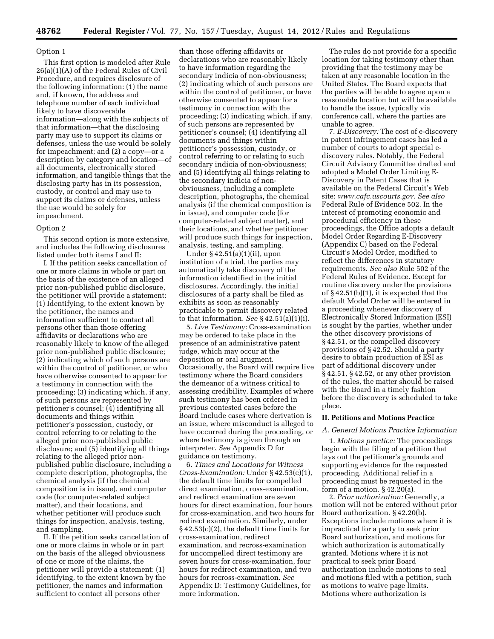# Option 1

This first option is modeled after Rule 26(a)(1)(A) of the Federal Rules of Civil Procedure, and requires disclosure of the following information: (1) the name and, if known, the address and telephone number of each individual likely to have discoverable information—along with the subjects of that information—that the disclosing party may use to support its claims or defenses, unless the use would be solely for impeachment; and (2) a copy—or a description by category and location—of all documents, electronically stored information, and tangible things that the disclosing party has in its possession, custody, or control and may use to support its claims or defenses, unless the use would be solely for impeachment.

# Option 2

This second option is more extensive, and includes the following disclosures listed under both items I and II:

I. If the petition seeks cancellation of one or more claims in whole or part on the basis of the existence of an alleged prior non-published public disclosure, the petitioner will provide a statement: (1) Identifying, to the extent known by the petitioner, the names and information sufficient to contact all persons other than those offering affidavits or declarations who are reasonably likely to know of the alleged prior non-published public disclosure; (2) indicating which of such persons are within the control of petitioner, or who have otherwise consented to appear for a testimony in connection with the proceeding; (3) indicating which, if any, of such persons are represented by petitioner's counsel; (4) identifying all documents and things within petitioner's possession, custody, or control referring to or relating to the alleged prior non-published public disclosure; and (5) identifying all things relating to the alleged prior nonpublished public disclosure, including a complete description, photographs, the chemical analysis (if the chemical composition is in issue), and computer code (for computer-related subject matter), and their locations, and whether petitioner will produce such things for inspection, analysis, testing, and sampling.

II. If the petition seeks cancellation of one or more claims in whole or in part on the basis of the alleged obviousness of one or more of the claims, the petitioner will provide a statement: (1) identifying, to the extent known by the petitioner, the names and information sufficient to contact all persons other

than those offering affidavits or declarations who are reasonably likely to have information regarding the secondary indicia of non-obviousness; (2) indicating which of such persons are within the control of petitioner, or have otherwise consented to appear for a testimony in connection with the proceeding; (3) indicating which, if any, of such persons are represented by petitioner's counsel; (4) identifying all documents and things within petitioner's possession, custody, or control referring to or relating to such secondary indicia of non-obviousness; and (5) identifying all things relating to the secondary indicia of nonobviousness, including a complete description, photographs, the chemical analysis (if the chemical composition is in issue), and computer code (for computer-related subject matter), and their locations, and whether petitioner will produce such things for inspection, analysis, testing, and sampling.

Under § 42.51(a)(1)(ii), upon institution of a trial, the parties may automatically take discovery of the information identified in the initial disclosures. Accordingly, the initial disclosures of a party shall be filed as exhibits as soon as reasonably practicable to permit discovery related to that information. *See* § 42.51(a)(1)(i).

5. *Live Testimony:* Cross-examination may be ordered to take place in the presence of an administrative patent judge, which may occur at the deposition or oral arugment. Occasionally, the Board will require live testimony where the Board considers the demeanor of a witness critical to assessing credibility. Examples of where such testimony has been ordered in previous contested cases before the Board include cases where derivation is an issue, where misconduct is alleged to have occurred during the proceeding, or where testimony is given through an interpreter. *See* Appendix D for guidance on testimony.

6. *Times and Locations for Witness Cross-Examination:* Under § 42.53(c)(1), the default time limits for compelled direct examination, cross-examination, and redirect examination are seven hours for direct examination, four hours for cross-examination, and two hours for redirect examination. Similarly, under § 42.53(c)(2), the default time limits for cross-examination, redirect examination, and recross-examination for uncompelled direct testimony are seven hours for cross-examination, four hours for redirect examination, and two hours for recross-examination. *See*  Appendix D: Testimony Guidelines, for more information.

The rules do not provide for a specific location for taking testimony other than providing that the testimony may be taken at any reasonable location in the United States. The Board expects that the parties will be able to agree upon a reasonable location but will be available to handle the issue, typically via conference call, where the parties are unable to agree.

7. *E-Discovery:* The cost of e-discovery in patent infringement cases has led a number of courts to adopt special ediscovery rules. Notably, the Federal Circuit Advisory Committee drafted and adopted a Model Order Limiting E-Discovery in Patent Cases that is available on the Federal Circuit's Web site: *[www.cafc.uscourts.gov](http://www.cafc.uscourts.gov)*. *See also*  Federal Rule of Evidence 502. In the interest of promoting economic and procedural efficiency in these proceedings, the Office adopts a default Model Order Regarding E-Discovery (Appendix C) based on the Federal Circuit's Model Order, modified to reflect the differences in statutory requirements. *See also* Rule 502 of the Federal Rules of Evidence. Except for routine discovery under the provisions of § 42.51(b)(1), it is expected that the default Model Order will be entered in a proceeding whenever discovery of Electronically Stored Information (ESI) is sought by the parties, whether under the other discovery provisions of § 42.51, or the compelled discovery provisions of § 42.52. Should a party desire to obtain production of ESI as part of additional discovery under § 42.51, § 42.52, or any other provision of the rules, the matter should be raised with the Board in a timely fashion before the discovery is scheduled to take place.

# **II. Petitions and Motions Practice**

# *A. General Motions Practice Information*

1. *Motions practice:* The proceedings begin with the filing of a petition that lays out the petitioner's grounds and supporting evidence for the requested proceeding. Additional relief in a proceeding must be requested in the form of a motion. § 42.20(a).

2. *Prior authorization:* Generally, a motion will not be entered without prior Board authorization. § 42.20(b). Exceptions include motions where it is impractical for a party to seek prior Board authorization, and motions for which authorization is automatically granted. Motions where it is not practical to seek prior Board authorization include motions to seal and motions filed with a petition, such as motions to waive page limits. Motions where authorization is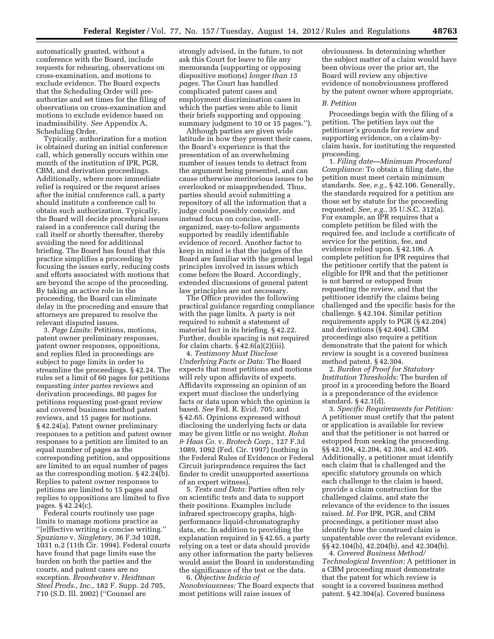automatically granted, without a conference with the Board, include requests for rehearing, observations on cross-examination, and motions to exclude evidence. The Board expects that the Scheduling Order will preauthorize and set times for the filing of observations on cross-examination and motions to exclude evidence based on inadmissibility. *See* Appendix A, Scheduling Order.

Typically, authorization for a motion is obtained during an initial conference call, which generally occurs within one month of the institution of IPR, PGR, CBM, and derivation proceedings. Additionally, where more immediate relief is required or the request arises after the initial conference call, a party should institute a conference call to obtain such authorization. Typically, the Board will decide procedural issues raised in a conference call during the call itself or shortly thereafter, thereby avoiding the need for additional briefing. The Board has found that this practice simplifies a proceeding by focusing the issues early, reducing costs and efforts associated with motions that are beyond the scope of the proceeding. By taking an active role in the proceeding, the Board can eliminate delay in the proceeding and ensure that attorneys are prepared to resolve the relevant disputed issues.

3. *Page Limits:* Petitions, motions, patent owner preliminary responses, patent owner responses, oppositions, and replies filed in proceedings are subject to page limits in order to streamline the proceedings. § 42.24. The rules set a limit of 60 pages for petitions requesting *inter partes* reviews and derivation proceedings, 80 pages for petitions requesting post-grant review and covered business method patent reviews, and 15 pages for motions. § 42.24(a). Patent owner preliminary responses to a petition and patent owner responses to a petition are limited to an equal number of pages as the corresponding petition, and oppositions are limited to an equal number of pages as the corresponding motion. § 42.24(b). Replies to patent owner responses to petitions are limited to 15 pages and replies to oppositions are limited to five pages. § 42.24(c).

Federal courts routinely use page limits to manage motions practice as ''[e]ffective writing is concise writing.'' *Spaziano* v. *Singletary,* 36 F.3d 1028, 1031 n.2 (11th Cir. 1994). Federal courts have found that page limits ease the burden on both the parties and the courts, and patent cases are no exception. *Broadwater* v. *Heidtman Steel Prods., Inc.,* 182 F. Supp. 2d 705, 710 (S.D. Ill. 2002) (''Counsel are

strongly advised, in the future, to not ask this Court for leave to file any memoranda (supporting or opposing dispositive motions) *longer than 15 pages.* The Court has handled complicated patent cases and employment discrimination cases in which the parties were able to limit their briefs supporting and opposing summary judgment to 10 or 15 pages.'').

Although parties are given wide latitude in how they present their cases, the Board's experience is that the presentation of an overwhelming number of issues tends to detract from the argument being presented, and can cause otherwise meritorious issues to be overlooked or misapprehended. Thus, parties should avoid submitting a repository of all the information that a judge could possibly consider, and instead focus on concise, wellorganized, easy-to-follow arguments supported by readily identifiable evidence of record. Another factor to keep in mind is that the judges of the Board are familiar with the general legal principles involved in issues which come before the Board. Accordingly, extended discussions of general patent law principles are not necessary.

The Office provides the following practical guidance regarding compliance with the page limits. A party is not required to submit a statement of material fact in its briefing. § 42.22. Further, double spacing is not required for claim charts.  $§ 42.6(a)(2)(iii)$ .

4. *Testimony Must Disclose Underlying Facts or Data:* The Board expects that most petitions and motions will rely upon affidavits of experts. Affidavits expressing an opinion of an expert must disclose the underlying facts or data upon which the opinion is based. *See* Fed. R. Evid. 705; and § 42.65. Opinions expressed without disclosing the underlying facts or data may be given little or no weight. *Rohm & Haas Co.* v. *Brotech Corp.,* 127 F.3d 1089, 1092 (Fed. Cir. 1997) (nothing in the Federal Rules of Evidence or Federal Circuit jurisprudence requires the fact finder to credit unsupported assertions of an expert witness).

5. *Tests and Data:* Parties often rely on scientific tests and data to support their positions. Examples include infrared spectroscopy graphs, highperformance liquid-chromatography data, etc. In addition to providing the explanation required in § 42.65, a party relying on a test or data should provide any other information the party believes would assist the Board in understanding the significance of the test or the data.

6. *Objective Indicia of Nonobviousness:* The Board expects that most petitions will raise issues of

obviousness. In determining whether the subject matter of a claim would have been obvious over the prior art, the Board will review any objective evidence of nonobviousness proffered by the patent owner where appropriate.

#### *B. Petition*

Proceedings begin with the filing of a petition. The petition lays out the petitioner's grounds for review and supporting evidence, on a claim-byclaim basis, for instituting the requested proceeding.

1. *Filing date—Minimum Procedural Compliance:* To obtain a filing date, the petition must meet certain minimum standards. *See, e.g.,* § 42.106. Generally, the standards required for a petition are those set by statute for the proceeding requested. *See, e.g.,* 35 U.S.C. 312(a). For example, an IPR requires that a complete petition be filed with the required fee, and include a certificate of service for the petition, fee, and evidence relied upon. § 42.106. A complete petition for IPR requires that the petitioner certify that the patent is eligible for IPR and that the petitioner is not barred or estopped from requesting the review, and that the petitioner identify the claims being challenged and the specific basis for the challenge. § 42.104. Similar petition requirements apply to PGR (§ 42.204) and derivations (§ 42.404). CBM proceedings also require a petition demonstrate that the patent for which review is sought is a covered business method patent. § 42.304.

2. *Burden of Proof for Statutory Institution Thresholds:* The burden of proof in a proceeding before the Board is a preponderance of the evidence standard. § 42.1(d).

3. *Specific Requirements for Petition:*  A petitioner must certify that the patent or application is available for review and that the petitioner is not barred or estopped from seeking the proceeding. §§ 42.104, 42.204, 42.304, and 42.405. Additionally, a petitioner must identify each claim that is challenged and the specific statutory grounds on which each challenge to the claim is based, provide a claim construction for the challenged claims, and state the relevance of the evidence to the issues raised. *Id.* For IPR, PGR, and CBM proceedings, a petitioner must also identify how the construed claim is unpatentable over the relevant evidence. §§ 42.104(b), 42.204(b), and 42.304(b).

4. *Covered Business Method/ Technological Invention:* A petitioner in a CBM proceeding must demonstrate that the patent for which review is sought is a covered business method patent. § 42.304(a). Covered business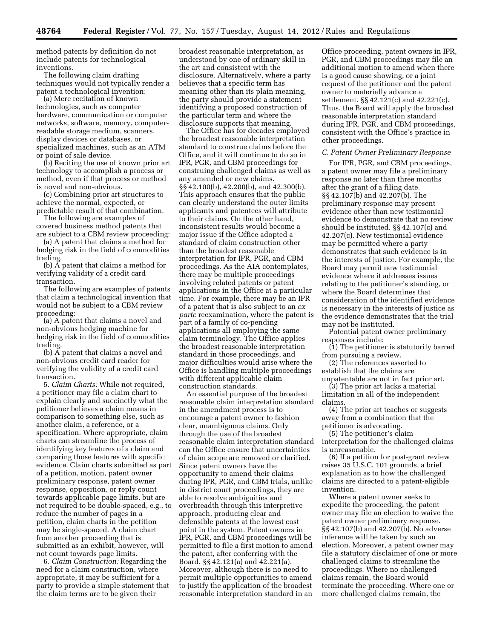method patents by definition do not include patents for technological inventions.

The following claim drafting techniques would not typically render a patent a technological invention:

(a) Mere recitation of known technologies, such as computer hardware, communication or computer networks, software, memory, computerreadable storage medium, scanners, display devices or databases, or specialized machines, such as an ATM or point of sale device.

(b) Reciting the use of known prior art technology to accomplish a process or method, even if that process or method is novel and non-obvious.

(c) Combining prior art structures to achieve the normal, expected, or predictable result of that combination.

The following are examples of covered business method patents that are subject to a CBM review proceeding:

(a) A patent that claims a method for hedging risk in the field of commodities trading.

(b) A patent that claims a method for verifying validity of a credit card transaction.

The following are examples of patents that claim a technological invention that would not be subject to a CBM review proceeding:

(a) A patent that claims a novel and non-obvious hedging machine for hedging risk in the field of commodities trading.

(b) A patent that claims a novel and non-obvious credit card reader for verifying the validity of a credit card transaction.

5. *Claim Charts:* While not required, a petitioner may file a claim chart to explain clearly and succinctly what the petitioner believes a claim means in comparison to something else, such as another claim, a reference, or a specification. Where appropriate, claim charts can streamline the process of identifying key features of a claim and comparing those features with specific evidence. Claim charts submitted as part of a petition, motion, patent owner preliminary response, patent owner response, opposition, or reply count towards applicable page limits, but are not required to be double-spaced, e.g., to reduce the number of pages in a petition, claim charts in the petition may be single-spaced. A claim chart from another proceeding that is submitted as an exhibit, however, will not count towards page limits.

6. *Claim Construction:* Regarding the need for a claim construction, where appropriate, it may be sufficient for a party to provide a simple statement that the claim terms are to be given their

broadest reasonable interpretation, as understood by one of ordinary skill in the art and consistent with the disclosure. Alternatively, where a party believes that a specific term has meaning other than its plain meaning, the party should provide a statement identifying a proposed construction of the particular term and where the disclosure supports that meaning.

The Office has for decades employed the broadest reasonable interpretation standard to construe claims before the Office, and it will continue to do so in IPR, PGR, and CBM proceedings for construing challenged claims as well as any amended or new claims. §§ 42.100(b), 42.200(b), and 42.300(b). This approach ensures that the public can clearly understand the outer limits applicants and patentees will attribute to their claims. On the other hand, inconsistent results would become a major issue if the Office adopted a standard of claim construction other than the broadest reasonable interpretation for IPR, PGR, and CBM proceedings. As the AIA contemplates, there may be multiple proceedings involving related patents or patent applications in the Office at a particular time. For example, there may be an IPR of a patent that is also subject to an *ex parte* reexamination, where the patent is part of a family of co-pending applications all employing the same claim terminology. The Office applies the broadest reasonable interpretation standard in those proceedings, and major difficulties would arise where the Office is handling multiple proceedings with different applicable claim construction standards.

An essential purpose of the broadest reasonable claim interpretation standard in the amendment process is to encourage a patent owner to fashion clear, unambiguous claims. Only through the use of the broadest reasonable claim interpretation standard can the Office ensure that uncertainties of claim scope are removed or clarified. Since patent owners have the opportunity to amend their claims during IPR, PGR, and CBM trials, unlike in district court proceedings, they are able to resolve ambiguities and overbreadth through this interpretive approach, producing clear and defensible patents at the lowest cost point in the system. Patent owners in IPR, PGR, and CBM proceedings will be permitted to file a first motion to amend the patent, after conferring with the Board. §§ 42.121(a) and 42.221(a). Moreover, although there is no need to permit multiple opportunities to amend to justify the application of the broadest reasonable interpretation standard in an

Office proceeding, patent owners in IPR, PGR, and CBM proceedings may file an additional motion to amend when there is a good cause showing, or a joint request of the petitioner and the patent owner to materially advance a settlement. §§ 42.121(c) and 42.221(c). Thus, the Board will apply the broadest reasonable interpretation standard during IPR, PGR, and CBM proceedings, consistent with the Office's practice in other proceedings.

#### *C. Patent Owner Preliminary Response*

For IPR, PGR, and CBM proceedings, a patent owner may file a preliminary response no later than three months after the grant of a filing date. §§ 42.107(b) and 42.207(b). The preliminary response may present evidence other than new testimonial evidence to demonstrate that no review should be instituted. §§ 42.107(c) and 42.207(c). New testimonial evidence may be permitted where a party demonstrates that such evidence is in the interests of justice. For example, the Board may permit new testimonial evidence where it addresses issues relating to the petitioner's standing, or where the Board determines that consideration of the identified evidence is necessary in the interests of justice as the evidence demonstrates that the trial may not be instituted.

Potential patent owner preliminary responses include:

(1) The petitioner is statutorily barred from pursuing a review.

(2) The references asserted to establish that the claims are

unpatentable are not in fact prior art. (3) The prior art lacks a material

limitation in all of the independent claims.

(4) The prior art teaches or suggests away from a combination that the petitioner is advocating.

(5) The petitioner's claim interpretation for the challenged claims is unreasonable.

(6) If a petition for post-grant review raises 35 U.S.C. 101 grounds, a brief explanation as to how the challenged claims are directed to a patent-eligible invention.

Where a patent owner seeks to expedite the proceeding, the patent owner may file an election to waive the patent owner preliminary response. §§ 42.107(b) and 42.207(b). No adverse inference will be taken by such an election. Moreover, a patent owner may file a statutory disclaimer of one or more challenged claims to streamline the proceedings. Where no challenged claims remain, the Board would terminate the proceeding. Where one or more challenged claims remain, the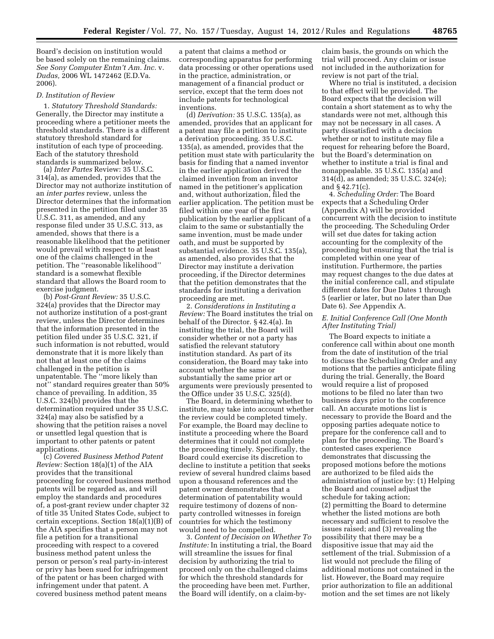Board's decision on institution would be based solely on the remaining claims. *See Sony Computer Entm't Am. Inc.* v. *Dudas,* 2006 WL 1472462 (E.D.Va. 2006).

#### *D. Institution of Review*

1. *Statutory Threshold Standards:*  Generally, the Director may institute a proceeding where a petitioner meets the threshold standards. There is a different statutory threshold standard for institution of each type of proceeding. Each of the statutory threshold standards is summarized below.

(a) *Inter Partes* Review: 35 U.S.C. 314(a), as amended, provides that the Director may not authorize institution of an *inter partes* review, unless the Director determines that the information presented in the petition filed under 35 U.S.C. 311, as amended, and any response filed under 35 U.S.C. 313, as amended, shows that there is a reasonable likelihood that the petitioner would prevail with respect to at least one of the claims challenged in the petition. The ''reasonable likelihood'' standard is a somewhat flexible standard that allows the Board room to exercise judgment.

(b) *Post-Grant Review:* 35 U.S.C. 324(a) provides that the Director may not authorize institution of a post-grant review, unless the Director determines that the information presented in the petition filed under 35 U.S.C. 321, if such information is not rebutted, would demonstrate that it is more likely than not that at least one of the claims challenged in the petition is unpatentable. The ''more likely than not'' standard requires greater than 50% chance of prevailing. In addition, 35 U.S.C. 324(b) provides that the determination required under 35 U.S.C. 324(a) may also be satisfied by a showing that the petition raises a novel or unsettled legal question that is important to other patents or patent applications.

(c) *Covered Business Method Patent Review:* Section 18(a)(1) of the AIA provides that the transitional proceeding for covered business method patents will be regarded as, and will employ the standards and procedures of, a post-grant review under chapter 32 of title 35 United States Code, subject to certain exceptions. Section 18(a)(1)(B) of the AIA specifies that a person may not file a petition for a transitional proceeding with respect to a covered business method patent unless the person or person's real party-in-interest or privy has been sued for infringement of the patent or has been charged with infringement under that patent. A covered business method patent means

a patent that claims a method or corresponding apparatus for performing data processing or other operations used in the practice, administration, or management of a financial product or service, except that the term does not include patents for technological inventions.

(d) *Derivation:* 35 U.S.C. 135(a), as amended, provides that an applicant for a patent may file a petition to institute a derivation proceeding. 35 U.S.C. 135(a), as amended, provides that the petition must state with particularity the basis for finding that a named inventor in the earlier application derived the claimed invention from an inventor named in the petitioner's application and, without authorization, filed the earlier application. The petition must be filed within one year of the first publication by the earlier applicant of a claim to the same or substantially the same invention, must be made under oath, and must be supported by substantial evidence. 35 U.S.C. 135(a), as amended, also provides that the Director may institute a derivation proceeding, if the Director determines that the petition demonstrates that the standards for instituting a derivation proceeding are met.

2. *Considerations in Instituting a Review:* The Board institutes the trial on behalf of the Director. § 42.4(a). In instituting the trial, the Board will consider whether or not a party has satisfied the relevant statutory institution standard. As part of its consideration, the Board may take into account whether the same or substantially the same prior art or arguments were previously presented to the Office under 35 U.S.C. 325(d).

The Board, in determining whether to institute, may take into account whether the review could be completed timely. For example, the Board may decline to institute a proceeding where the Board determines that it could not complete the proceeding timely. Specifically, the Board could exercise its discretion to decline to institute a petition that seeks review of several hundred claims based upon a thousand references and the patent owner demonstrates that a determination of patentability would require testimony of dozens of nonparty controlled witnesses in foreign countries for which the testimony would need to be compelled.

3. *Content of Decision on Whether To Institute:* In instituting a trial, the Board will streamline the issues for final decision by authorizing the trial to proceed only on the challenged claims for which the threshold standards for the proceeding have been met. Further, the Board will identify, on a claim-by-

claim basis, the grounds on which the trial will proceed. Any claim or issue not included in the authorization for review is not part of the trial.

Where no trial is instituted, a decision to that effect will be provided. The Board expects that the decision will contain a short statement as to why the standards were not met, although this may not be necessary in all cases. A party dissatisfied with a decision whether or not to institute may file a request for rehearing before the Board, but the Board's determination on whether to institute a trial is final and nonappealable. 35 U.S.C. 135(a) and 314(d), as amended; 35 U.S.C. 324(e); and § 42.71(c).

4. *Scheduling Order:* The Board expects that a Scheduling Order (Appendix A) will be provided concurrent with the decision to institute the proceeding. The Scheduling Order will set due dates for taking action accounting for the complexity of the proceeding but ensuring that the trial is completed within one year of institution. Furthermore, the parties may request changes to the due dates at the initial conference call, and stipulate different dates for Due Dates 1 through 5 (earlier or later, but no later than Due Date 6). *See* Appendix A.

# *E. Initial Conference Call (One Month After Instituting Trial)*

The Board expects to initiate a conference call within about one month from the date of institution of the trial to discuss the Scheduling Order and any motions that the parties anticipate filing during the trial. Generally, the Board would require a list of proposed motions to be filed no later than two business days prior to the conference call. An accurate motions list is necessary to provide the Board and the opposing parties adequate notice to prepare for the conference call and to plan for the proceeding. The Board's contested cases experience demonstrates that discussing the proposed motions before the motions are authorized to be filed aids the administration of justice by: (1) Helping the Board and counsel adjust the schedule for taking action; (2) permitting the Board to determine whether the listed motions are both necessary and sufficient to resolve the issues raised; and (3) revealing the possibility that there may be a dispositive issue that may aid the settlement of the trial. Submission of a list would not preclude the filing of additional motions not contained in the list. However, the Board may require prior authorization to file an additional motion and the set times are not likely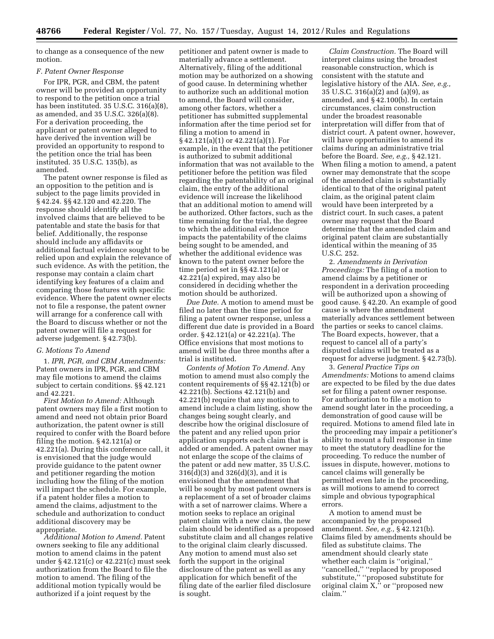to change as a consequence of the new motion.

#### *F. Patent Owner Response*

For IPR, PGR, and CBM, the patent owner will be provided an opportunity to respond to the petition once a trial has been instituted. 35 U.S.C. 316(a)(8), as amended, and 35 U.S.C. 326(a)(8). For a derivation proceeding, the applicant or patent owner alleged to have derived the invention will be provided an opportunity to respond to the petition once the trial has been instituted. 35 U.S.C. 135(b), as amended.

The patent owner response is filed as an opposition to the petition and is subject to the page limits provided in § 42.24. §§ 42.120 and 42.220. The response should identify all the involved claims that are believed to be patentable and state the basis for that belief. Additionally, the response should include any affidavits or additional factual evidence sought to be relied upon and explain the relevance of such evidence. As with the petition, the response may contain a claim chart identifying key features of a claim and comparing those features with specific evidence. Where the patent owner elects not to file a response, the patent owner will arrange for a conference call with the Board to discuss whether or not the patent owner will file a request for adverse judgement. § 42.73(b).

# *G. Motions To Amend*

1. *IPR, PGR, and CBM Amendments:*  Patent owners in IPR, PGR, and CBM may file motions to amend the claims subject to certain conditions. §§ 42.121 and 42.221.

*First Motion to Amend:* Although patent owners may file a first motion to amend and need not obtain prior Board authorization, the patent owner is still required to confer with the Board before filing the motion. § 42.121(a) or 42.221(a). During this conference call, it is envisioned that the judge would provide guidance to the patent owner and petitioner regarding the motion including how the filing of the motion will impact the schedule. For example, if a patent holder files a motion to amend the claims, adjustment to the schedule and authorization to conduct additional discovery may be appropriate.

*Additional Motion to Amend.* Patent owners seeking to file any additional motion to amend claims in the patent under § 42.121(c) or 42.221(c) must seek authorization from the Board to file the motion to amend. The filing of the additional motion typically would be authorized if a joint request by the

petitioner and patent owner is made to materially advance a settlement. Alternatively, filing of the additional motion may be authorized on a showing of good cause. In determining whether to authorize such an additional motion to amend, the Board will consider, among other factors, whether a petitioner has submitted supplemental information after the time period set for filing a motion to amend in § 42.121(a)(1) or 42.221(a)(1). For example, in the event that the petitioner is authorized to submit additional information that was not available to the petitioner before the petition was filed regarding the patentability of an original claim, the entry of the additional evidence will increase the likelihood that an additional motion to amend will be authorized. Other factors, such as the time remaining for the trial, the degree to which the additional evidence impacts the patentability of the claims being sought to be amended, and whether the additional evidence was known to the patent owner before the time period set in §§ 42.121(a) or 42.221(a) expired, may also be considered in deciding whether the motion should be authorized.

*Due Date.* A motion to amend must be filed no later than the time period for filing a patent owner response, unless a different due date is provided in a Board order. § 42.121(a) or 42.221(a). The Office envisions that most motions to amend will be due three months after a trial is instituted.

*Contents of Motion To Amend.* Any motion to amend must also comply the content requirements of §§ 42.121(b) or 42.221(b). Sections 42.121(b) and 42.221(b) require that any motion to amend include a claim listing, show the changes being sought clearly, and describe how the original disclosure of the patent and any relied upon prior application supports each claim that is added or amended. A patent owner may not enlarge the scope of the claims of the patent or add new matter, 35 U.S.C. 316(d)(3) and 326(d)(3), and it is envisioned that the amendment that will be sought by most patent owners is a replacement of a set of broader claims with a set of narrower claims. Where a motion seeks to replace an original patent claim with a new claim, the new claim should be identified as a proposed substitute claim and all changes relative to the original claim clearly discussed. Any motion to amend must also set forth the support in the original disclosure of the patent as well as any application for which benefit of the filing date of the earlier filed disclosure is sought.

*Claim Construction.* The Board will interpret claims using the broadest reasonable construction, which is consistent with the statute and legislative history of the AIA. *See, e.g.,*  35 U.S.C. 316(a)(2) and (a)(9), as amended, and § 42.100(b). In certain circumstances, claim construction under the broadest reasonable interpretation will differ from that of district court. A patent owner, however, will have opportunities to amend its claims during an administrative trial before the Board. *See, e.g.,* § 42.121. When filing a motion to amend, a patent owner may demonstrate that the scope of the amended claim is substantially identical to that of the original patent claim, as the original patent claim would have been interpreted by a district court. In such cases, a patent owner may request that the Board determine that the amended claim and original patent claim are substantially identical within the meaning of 35 U.S.C. 252.

2. *Amendments in Derivation Proceedings:* The filing of a motion to amend claims by a petitioner or respondent in a derivation proceeding will be authorized upon a showing of good cause. § 42.20. An example of good cause is where the amendment materially advances settlement between the parties or seeks to cancel claims. The Board expects, however, that a request to cancel all of a party's disputed claims will be treated as a request for adverse judgment. § 42.73(b).

3. *General Practice Tips on Amendments:* Motions to amend claims are expected to be filed by the due dates set for filing a patent owner response. For authorization to file a motion to amend sought later in the proceeding, a demonstration of good cause will be required. Motions to amend filed late in the proceeding may impair a petitioner's ability to mount a full response in time to meet the statutory deadline for the proceeding. To reduce the number of issues in dispute, however, motions to cancel claims will generally be permitted even late in the proceeding, as will motions to amend to correct simple and obvious typographical errors.

A motion to amend must be accompanied by the proposed amendment. *See, e.g.,* § 42.121(b). Claims filed by amendments should be filed as substitute claims. The amendment should clearly state whether each claim is ''original,'' "cancelled," "replaced by proposed substitute,'' ''proposed substitute for original claim X,'' or ''proposed new claim.''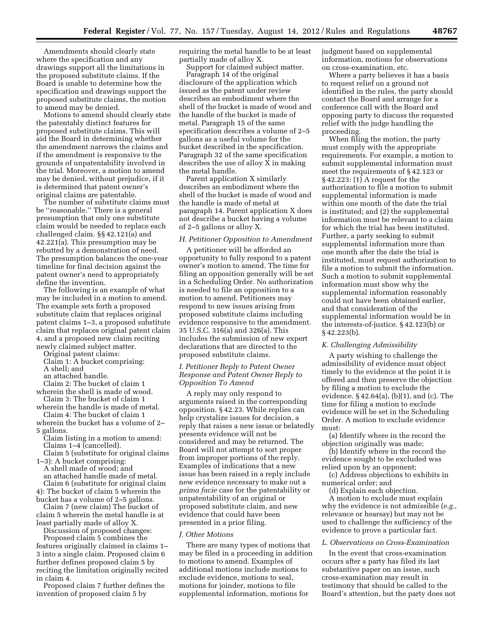Amendments should clearly state where the specification and any drawings support all the limitations in the proposed substitute claims. If the Board is unable to determine how the specification and drawings support the proposed substitute claims, the motion to amend may be denied.

Motions to amend should clearly state the patentably distinct features for proposed substitute claims. This will aid the Board in determining whether the amendment narrows the claims and if the amendment is responsive to the grounds of unpatentability involved in the trial. Moreover, a motion to amend may be denied, without prejudice, if it is determined that patent owner's original claims are patentable.

The number of substitute claims must be ''reasonable.'' There is a general presumption that only one substitute claim would be needed to replace each challenged claim. §§ 42.121(a) and 42.221(a). This presumption may be rebutted by a demonstration of need. The presumption balances the one-year timeline for final decision against the patent owner's need to appropriately define the invention.

The following is an example of what may be included in a motion to amend. The example sets forth a proposed substitute claim that replaces original patent claims 1–3, a proposed substitute claim that replaces original patent claim 4, and a proposed new claim reciting newly claimed subject matter.

Original patent claims:

Claim 1: A bucket comprising: A shell; and

an attached handle.

Claim 2: The bucket of claim 1

wherein the shell is made of wood. Claim 3: The bucket of claim 1

wherein the handle is made of metal. Claim 4: The bucket of claim 1

wherein the bucket has a volume of 2– 5 gallons.

Claim listing in a motion to amend: Claims 1–4 (cancelled).

Claim 5 (substitute for original claims 1–3): A bucket comprising:

A shell made of wood; and an attached handle made of metal. Claim 6 (substitute for original claim

4): The bucket of claim 5 wherein the bucket has a volume of 2–5 gallons.

Claim 7 (new claim) The bucket of claim 5 wherein the metal handle is at least partially made of alloy X.

Discussion of proposed changes: Proposed claim 5 combines the features originally claimed in claims 1–

3 into a single claim. Proposed claim 6 further defines proposed claim 5 by reciting the limitation originally recited in claim 4.

Proposed claim 7 further defines the invention of proposed claim 5 by

requiring the metal handle to be at least partially made of alloy X.

Support for claimed subject matter. Paragraph 14 of the original disclosure of the application which issued as the patent under review describes an embodiment where the shell of the bucket is made of wood and the handle of the bucket is made of metal. Paragraph 15 of the same specification describes a volume of 2–5 gallons as a useful volume for the bucket described in the specification. Paragraph 32 of the same specification describes the use of alloy X in making the metal handle.

Parent application X similarly describes an embodiment where the shell of the bucket is made of wood and the handle is made of metal at paragraph 14. Parent application X does not describe a bucket having a volume of 2–5 gallons or alloy X.

# *H. Petitioner Opposition to Amendment*

A petitioner will be afforded an opportunity to fully respond to a patent owner's motion to amend. The time for filing an opposition generally will be set in a Scheduling Order. No authorization is needed to file an opposition to a motion to amend. Petitioners may respond to new issues arising from proposed substitute claims including evidence responsive to the amendment. 35 U.S.C. 316(a) and 326(a). This includes the submission of new expert declarations that are directed to the proposed substitute claims.

# *I. Petitioner Reply to Patent Owner Response and Patent Owner Reply to Opposition To Amend*

A reply may only respond to arguments raised in the corresponding opposition. § 42.23. While replies can help crystalize issues for decision, a reply that raises a new issue or belatedly presents evidence will not be considered and may be returned. The Board will not attempt to sort proper from improper portions of the reply. Examples of indications that a new issue has been raised in a reply include new evidence necessary to make out a *prima facie* case for the patentability or unpatentability of an original or proposed substitute claim, and new evidence that could have been presented in a prior filing.

# *J. Other Motions*

There are many types of motions that may be filed in a proceeding in addition to motions to amend. Examples of additional motions include motions to exclude evidence, motions to seal, motions for joinder, motions to file supplemental information, motions for

judgment based on supplemental information, motions for observations on cross-examination, etc.

Where a party believes it has a basis to request relief on a ground not identified in the rules, the party should contact the Board and arrange for a conference call with the Board and opposing party to discuss the requested relief with the judge handling the proceeding.

When filing the motion, the party must comply with the appropriate requirements. For example, a motion to submit supplemental information must meet the requirements of § 42.123 or § 42.223: (1) A request for the authorization to file a motion to submit supplemental information is made within one month of the date the trial is instituted; and (2) the supplemental information must be relevant to a claim for which the trial has been instituted. Further, a party seeking to submit supplemental information more than one month after the date the trial is instituted, must request authorization to file a motion to submit the information. Such a motion to submit supplemental information must show why the supplemental information reasonably could not have been obtained earlier, and that consideration of the supplemental information would be in the interests-of-justice. § 42.123(b) or § 42.223(b).

# *K. Challenging Admissibility*

A party wishing to challenge the admissibility of evidence must object timely to the evidence at the point it is offered and then preserve the objection by filing a motion to exclude the evidence. § 42.64(a), (b)(1), and (c). The time for filing a motion to exclude evidence will be set in the Scheduling Order. A motion to exclude evidence must:

(a) Identify where in the record the objection originally was made;

(b) Identify where in the record the evidence sought to be excluded was relied upon by an opponent;

(c) Address objections to exhibits in numerical order; and

(d) Explain each objection. A motion to exclude must explain why the evidence is not admissible (*e.g.,*  relevance or hearsay) but may not be used to challenge the sufficiency of the evidence to prove a particular fact.

#### *L. Observations on Cross-Examination*

In the event that cross-examination occurs after a party has filed its last substantive paper on an issue, such cross-examination may result in testimony that should be called to the Board's attention, but the party does not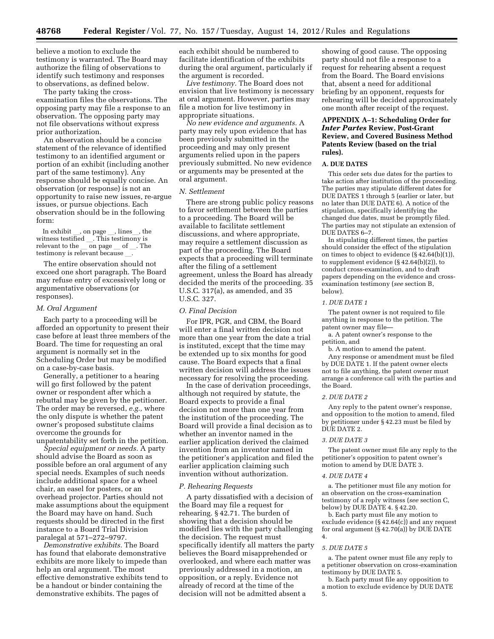believe a motion to exclude the testimony is warranted. The Board may authorize the filing of observations to identify such testimony and responses to observations, as defined below.

The party taking the crossexamination files the observations. The opposing party may file a response to an observation. The opposing party may not file observations without express prior authorization.

An observation should be a concise statement of the relevance of identified testimony to an identified argument or portion of an exhibit (including another part of the same testimony). Any response should be equally concise. An observation (or response) is not an opportunity to raise new issues, re-argue issues, or pursue objections. Each observation should be in the following form:

In exhibit , on page , lines, the witness testified  $\overline{\phantom{a}}$ . This testimony is<br>relevant to the  $\overline{\phantom{a}}$  on page  $\overline{\phantom{a}}$  of  $\overline{\phantom{a}}$ . The relevant to the \_\_ on page \_\_ of \_\_. The<br>testimony is relevant because testimony is relevant because  $\_\_$ 

The entire observation should not exceed one short paragraph. The Board may refuse entry of excessively long or argumentative observations (or responses).

#### *M. Oral Argument*

Each party to a proceeding will be afforded an opportunity to present their case before at least three members of the Board. The time for requesting an oral argument is normally set in the Scheduling Order but may be modified on a case-by-case basis.

Generally, a petitioner to a hearing will go first followed by the patent owner or respondent after which a rebuttal may be given by the petitioner. The order may be reversed, *e.g.,* where the only dispute is whether the patent owner's proposed substitute claims overcome the grounds for unpatentability set forth in the petition.

*Special equipment or needs.* A party should advise the Board as soon as possible before an oral argument of any special needs. Examples of such needs include additional space for a wheel chair, an easel for posters, or an overhead projector. Parties should not make assumptions about the equipment the Board may have on hand. Such requests should be directed in the first instance to a Board Trial Division paralegal at 571–272–9797.

*Demonstrative exhibits.* The Board has found that elaborate demonstrative exhibits are more likely to impede than help an oral argument. The most effective demonstrative exhibits tend to be a handout or binder containing the demonstrative exhibits. The pages of

each exhibit should be numbered to facilitate identification of the exhibits during the oral argument, particularly if the argument is recorded.

*Live testimony.* The Board does not envision that live testimony is necessary at oral argument. However, parties may file a motion for live testimony in appropriate situations.

*No new evidence and arguments.* A party may rely upon evidence that has been previously submitted in the proceeding and may only present arguments relied upon in the papers previously submitted. No new evidence or arguments may be presented at the oral argument.

#### *N. Settlement*

There are strong public policy reasons to favor settlement between the parties to a proceeding. The Board will be available to facilitate settlement discussions, and where appropriate, may require a settlement discussion as part of the proceeding. The Board expects that a proceeding will terminate after the filing of a settlement agreement, unless the Board has already decided the merits of the proceeding. 35 U.S.C. 317(a), as amended, and 35 U.S.C. 327.

#### *O. Final Decision*

For IPR, PGR, and CBM, the Board will enter a final written decision not more than one year from the date a trial is instituted, except that the time may be extended up to six months for good cause. The Board expects that a final written decision will address the issues necessary for resolving the proceeding.

In the case of derivation proceedings, although not required by statute, the Board expects to provide a final decision not more than one year from the institution of the proceeding. The Board will provide a final decision as to whether an inventor named in the earlier application derived the claimed invention from an inventor named in the petitioner's application and filed the earlier application claiming such invention without authorization.

# *P. Rehearing Requests*

A party dissatisfied with a decision of the Board may file a request for rehearing. § 42.71. The burden of showing that a decision should be modified lies with the party challenging the decision. The request must specifically identify all matters the party believes the Board misapprehended or overlooked, and where each matter was previously addressed in a motion, an opposition, or a reply. Evidence not already of record at the time of the decision will not be admitted absent a

showing of good cause. The opposing party should not file a response to a request for rehearing absent a request from the Board. The Board envisions that, absent a need for additional briefing by an opponent, requests for rehearing will be decided approximately one month after receipt of the request.

# **APPENDIX A–1: Scheduling Order for**  *Inter Partes* **Review, Post-Grant Review, and Covered Business Method Patents Review (based on the trial rules).**

# **A. DUE DATES**

This order sets due dates for the parties to take action after institution of the proceeding. The parties may stipulate different dates for DUE DATES 1 through 5 (earlier or later, but no later than DUE DATE 6). A notice of the stipulation, specifically identifying the changed due dates, must be promptly filed. The parties may not stipulate an extension of DUE DATES 6–7.

In stipulating different times, the parties should consider the effect of the stipulation on times to object to evidence (§ 42.64(b)(1)), to supplement evidence (§ 42.64(b)(2)), to conduct cross-examination, and to draft papers depending on the evidence and crossexamination testimony (*see* section B, below).

# *1. DUE DATE 1*

The patent owner is not required to file anything in response to the petition. The patent owner may file—

a. A patent owner's response to the petition, and

b. A motion to amend the patent. Any response or amendment must be filed

by DUE DATE 1. If the patent owner elects not to file anything, the patent owner must arrange a conference call with the parties and the Board.

#### *2. DUE DATE 2*

Any reply to the patent owner's response, and opposition to the motion to amend, filed by petitioner under § 42.23 must be filed by DUE DATE 2.

#### *3. DUE DATE 3*

The patent owner must file any reply to the petitioner's opposition to patent owner's motion to amend by DUE DATE 3.

#### *4. DUE DATE 4*

a. The petitioner must file any motion for an observation on the cross-examination testimony of a reply witness (*see* section C, below) by DUE DATE 4. § 42.20.

b. Each party must file any motion to exclude evidence (§ 42.64(c)) and any request for oral argument  $(S 42.70(a))$  by DUE DATE 4.

#### *5. DUE DATE 5*

a. The patent owner must file any reply to a petitioner observation on cross-examination testimony by DUE DATE 5.

b. Each party must file any opposition to a motion to exclude evidence by DUE DATE 5.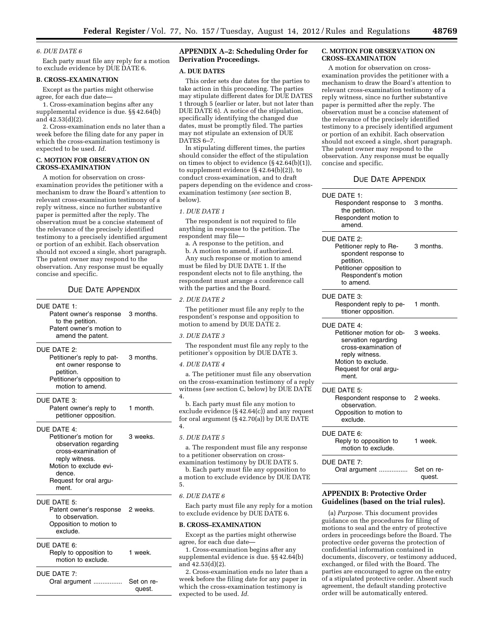#### *6. DUE DATE 6*

Each party must file any reply for a motion to exclude evidence by DUE DATE 6.

# **B. CROSS–EXAMINATION**

Except as the parties might otherwise agree, for each due date—

1. Cross-examination begins after any supplemental evidence is due. §§ 42.64(b) and 42.53(d)(2).

2. Cross-examination ends no later than a week before the filing date for any paper in which the cross-examination testimony is expected to be used. *Id.* 

#### **C. MOTION FOR OBSERVATION ON CROSS–EXAMINATION**

A motion for observation on crossexamination provides the petitioner with a mechanism to draw the Board's attention to relevant cross-examination testimony of a reply witness, since no further substantive paper is permitted after the reply. The observation must be a concise statement of the relevance of the precisely identified testimony to a precisely identified argument or portion of an exhibit. Each observation should not exceed a single, short paragraph. The patent owner may respond to the observation. Any response must be equally concise and specific.

# DUE DATE APPENDIX

DUE DATE 1:

Patent owner's response to the petition. 3 months. Patent owner's motion to amend the patent. DUE DATE 2: Petitioner's reply to pat-3 months.

ent owner response to petition. Petitioner's opposition to motion to amend.

DUE DATE 3:

Patent owner's reply to petitioner opposition. 1 month.

DUE DATE 4:

Petitioner's motion for observation regarding cross-examination of reply witness. 3 weeks. Motion to exclude evidence.

Request for oral argument.

# DUE DATE 5:

Patent owner's response to observation. 2 weeks. Opposition to motion to exclude.

#### DUE DATE 6:

| Reply to opposition to<br>motion to exclude. | 1 week. |
|----------------------------------------------|---------|
|                                              |         |

# DUE DATE 7:

Oral argument ................ Set on request.

# **APPENDIX A–2: Scheduling Order for Derivation Proceedings.**

#### **A. DUE DATES**

This order sets due dates for the parties to take action in this proceeding. The parties may stipulate different dates for DUE DATES 1 through 5 (earlier or later, but not later than DUE DATE 6). A notice of the stipulation, specifically identifying the changed due dates, must be promptly filed. The parties may not stipulate an extension of DUE DATES 6–7.

In stipulating different times, the parties should consider the effect of the stipulation on times to object to evidence (§ 42.64(b)(1)), to supplement evidence (§ 42.64(b)(2)), to conduct cross-examination, and to draft papers depending on the evidence and crossexamination testimony (*see* section B, below).

# *1. DUE DATE 1*

The respondent is not required to file anything in response to the petition. The respondent may file—

a. A response to the petition, and

b. A motion to amend, if authorized. Any such response or motion to amend must be filed by DUE DATE 1. If the respondent elects not to file anything, the respondent must arrange a conference call with the parties and the Board.

#### *2. DUE DATE 2*

The petitioner must file any reply to the respondent's response and opposition to motion to amend by DUE DATE 2.

# *3. DUE DATE 3*

The respondent must file any reply to the petitioner's opposition by DUE DATE 3.

## *4. DUE DATE 4*

a. The petitioner must file any observation on the cross-examination testimony of a reply witness (*see* section C, below) by DUE DATE 4.

b. Each party must file any motion to exclude evidence (§ 42.64(c)) and any request for oral argument (§ 42.70(a)) by DUE DATE 4.

#### *5. DUE DATE 5*

a. The respondent must file any response to a petitioner observation on crossexamination testimony by DUE DATE 5.

b. Each party must file any opposition to a motion to exclude evidence by DUE DATE 5.

#### *6. DUE DATE 6*

Each party must file any reply for a motion to exclude evidence by DUE DATE 6.

#### **B. CROSS–EXAMINATION**

Except as the parties might otherwise agree, for each due date—

1. Cross-examination begins after any supplemental evidence is due. §§ 42.64(b) and 42.53(d)(2).

2. Cross-examination ends no later than a week before the filing date for any paper in which the cross-examination testimony is expected to be used. *Id.* 

#### **C. MOTION FOR OBSERVATION ON CROSS–EXAMINATION**

A motion for observation on crossexamination provides the petitioner with a mechanism to draw the Board's attention to relevant cross-examination testimony of a reply witness, since no further substantive paper is permitted after the reply. The observation must be a concise statement of the relevance of the precisely identified testimony to a precisely identified argument or portion of an exhibit. Each observation should not exceed a single, short paragraph. The patent owner may respond to the observation. Any response must be equally concise and specific.

# DUE DATE APPENDIX

| DUE DATE 1:<br>Respondent response to<br>the petition.<br>Respondent motion to<br>amend.                                                                           | 3 months.            |
|--------------------------------------------------------------------------------------------------------------------------------------------------------------------|----------------------|
| DUE DATE 2:<br>Petitioner reply to Re-<br>spondent response to<br>petition.<br>Petitioner opposition to<br>Respondent's motion<br>to amend.                        | 3 months.            |
| DUE DATE 3:<br>Respondent reply to pe-<br>titioner opposition.                                                                                                     | 1 month.             |
| DUF DATE 4:<br>Petitioner motion for ob-<br>servation regarding<br>cross-examination of<br>reply witness.<br>Motion to exclude.<br>Request for oral argu-<br>ment. | 3 weeks.             |
| DUE DATE 5:<br>Respondent response to<br>observation.<br>Opposition to motion to<br>exclude.                                                                       | 2 weeks.             |
| DUE DATE 6:<br>Reply to opposition to<br>motion to exclude.                                                                                                        | 1 week.              |
| DUE DATE 7:<br>Oral argument                                                                                                                                       | Set on re-<br>quest. |

# **APPENDIX B: Protective Order Guidelines (based on the trial rules).**

(a) *Purpose.* This document provides guidance on the procedures for filing of motions to seal and the entry of protective orders in proceedings before the Board. The protective order governs the protection of confidential information contained in documents, discovery, or testimony adduced, exchanged, or filed with the Board. The parties are encouraged to agree on the entry of a stipulated protective order. Absent such agreement, the default standing protective order will be automatically entered.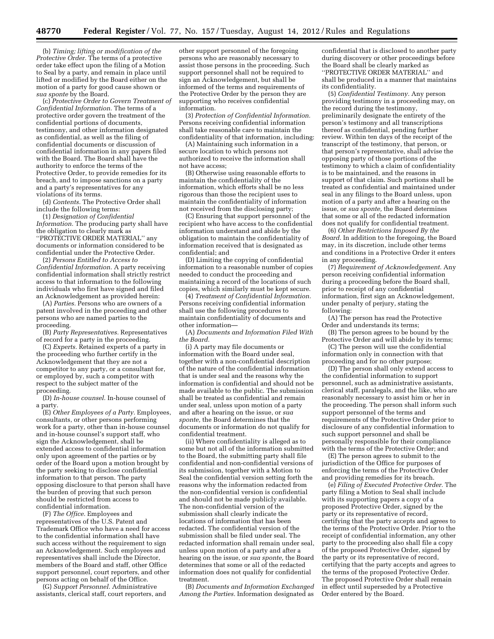(b) *Timing; lifting or modification of the Protective Order.* The terms of a protective order take effect upon the filing of a Motion to Seal by a party, and remain in place until lifted or modified by the Board either on the motion of a party for good cause shown or *sua sponte* by the Board.

(c) *Protective Order to Govern Treatment of Confidential Information.* The terms of a protective order govern the treatment of the confidential portions of documents, testimony, and other information designated as confidential, as well as the filing of confidential documents or discussion of confidential information in any papers filed with the Board. The Board shall have the authority to enforce the terms of the Protective Order, to provide remedies for its breach, and to impose sanctions on a party and a party's representatives for any violations of its terms.

(d) *Contents.* The Protective Order shall include the following terms:

(1) *Designation of Confidential Information.* The producing party shall have the obligation to clearly mark as ''PROTECTIVE ORDER MATERIAL'' any documents or information considered to be confidential under the Protective Order.

(2) *Persons Entitled to Access to Confidential Information.* A party receiving confidential information shall strictly restrict access to that information to the following individuals who first have signed and filed an Acknowledgement as provided herein:

(A) *Parties.* Persons who are owners of a patent involved in the proceeding and other persons who are named parties to the proceeding.

(B) *Party Representatives.* Representatives of record for a party in the proceeding.

(C) *Experts.* Retained experts of a party in the proceeding who further certify in the Acknowledgement that they are not a competitor to any party, or a consultant for, or employed by, such a competitor with respect to the subject matter of the proceeding.

(D) *In-house counsel.* In-house counsel of a party.

(E) *Other Employees of a Party.* Employees, consultants, or other persons performing work for a party, other than in-house counsel and in-house counsel's support staff, who sign the Acknowledgement, shall be extended access to confidential information only upon agreement of the parties or by order of the Board upon a motion brought by the party seeking to disclose confidential information to that person. The party opposing disclosure to that person shall have the burden of proving that such person should be restricted from access to confidential information.

(F) *The Office.* Employees and representatives of the U.S. Patent and Trademark Office who have a need for access to the confidential information shall have such access without the requirement to sign an Acknowledgement. Such employees and representatives shall include the Director, members of the Board and staff, other Office support personnel, court reporters, and other persons acting on behalf of the Office.

(G) *Support Personnel.* Administrative assistants, clerical staff, court reporters, and

other support personnel of the foregoing persons who are reasonably necessary to assist those persons in the proceeding. Such support personnel shall not be required to sign an Acknowledgement, but shall be informed of the terms and requirements of the Protective Order by the person they are supporting who receives confidential information.

(3) *Protection of Confidential Information.*  Persons receiving confidential information shall take reasonable care to maintain the confidentiality of that information, including:

(A) Maintaining such information in a secure location to which persons not authorized to receive the information shall not have access;

(B) Otherwise using reasonable efforts to maintain the confidentiality of the information, which efforts shall be no less rigorous than those the recipient uses to maintain the confidentiality of information not received from the disclosing party;

(C) Ensuring that support personnel of the recipient who have access to the confidential information understand and abide by the obligation to maintain the confidentiality of information received that is designated as confidential; and

(D) Limiting the copying of confidential information to a reasonable number of copies needed to conduct the proceeding and maintaining a record of the locations of such copies, which similarly must be kept secure.

(4) *Treatment of Confidential Information.*  Persons receiving confidential information shall use the following procedures to maintain confidentiality of documents and other information—

(A) *Documents and Information Filed With the Board.* 

(i) A party may file documents or information with the Board under seal, together with a non-confidential description of the nature of the confidential information that is under seal and the reasons why the information is confidential and should not be made available to the public. The submission shall be treated as confidential and remain under seal, unless upon motion of a party and after a hearing on the issue, or *sua sponte,* the Board determines that the documents or information do not qualify for confidential treatment.

(ii) Where confidentiality is alleged as to some but not all of the information submitted to the Board, the submitting party shall file confidential and non-confidential versions of its submission, together with a Motion to Seal the confidential version setting forth the reasons why the information redacted from the non-confidential version is confidential and should not be made publicly available. The non-confidential version of the submission shall clearly indicate the locations of information that has been redacted. The confidential version of the submission shall be filed under seal. The redacted information shall remain under seal, unless upon motion of a party and after a hearing on the issue, or *sua sponte,* the Board determines that some or all of the redacted information does not qualify for confidential treatment.

(B) *Documents and Information Exchanged Among the Parties.* Information designated as confidential that is disclosed to another party during discovery or other proceedings before the Board shall be clearly marked as ''PROTECTIVE ORDER MATERIAL'' and shall be produced in a manner that maintains its confidentiality.

(5) *Confidential Testimony.* Any person providing testimony in a proceeding may, on the record during the testimony, preliminarily designate the entirety of the person's testimony and all transcriptions thereof as confidential, pending further review. Within ten days of the receipt of the transcript of the testimony, that person, or that person's representative, shall advise the opposing party of those portions of the testimony to which a claim of confidentiality is to be maintained, and the reasons in support of that claim. Such portions shall be treated as confidential and maintained under seal in any filings to the Board unless, upon motion of a party and after a hearing on the issue, or *sua sponte,* the Board determines that some or all of the redacted information does not qualify for confidential treatment.

(6) *Other Restrictions Imposed By the Board.* In addition to the foregoing, the Board may, in its discretion, include other terms and conditions in a Protective Order it enters in any proceeding.

(7) *Requirement of Acknowledgement.* Any person receiving confidential information during a proceeding before the Board shall, prior to receipt of any confidential information, first sign an Acknowledgement, under penalty of perjury, stating the following:

(A) The person has read the Protective Order and understands its terms;

(B) The person agrees to be bound by the Protective Order and will abide by its terms;

(C) The person will use the confidential information only in connection with that proceeding and for no other purpose;

(D) The person shall only extend access to the confidential information to support personnel, such as administrative assistants, clerical staff, paralegals, and the like, who are reasonably necessary to assist him or her in the proceeding. The person shall inform such support personnel of the terms and requirements of the Protective Order prior to disclosure of any confidential information to such support personnel and shall be personally responsible for their compliance with the terms of the Protective Order; and

(E) The person agrees to submit to the jurisdiction of the Office for purposes of enforcing the terms of the Protective Order and providing remedies for its breach.

(e) *Filing of Executed Protective Order.* The party filing a Motion to Seal shall include with its supporting papers a copy of a proposed Protective Order, signed by the party or its representative of record, certifying that the party accepts and agrees to the terms of the Protective Order. Prior to the receipt of confidential information, any other party to the proceeding also shall file a copy of the proposed Protective Order, signed by the party or its representative of record, certifying that the party accepts and agrees to the terms of the proposed Protective Order. The proposed Protective Order shall remain in effect until superseded by a Protective Order entered by the Board.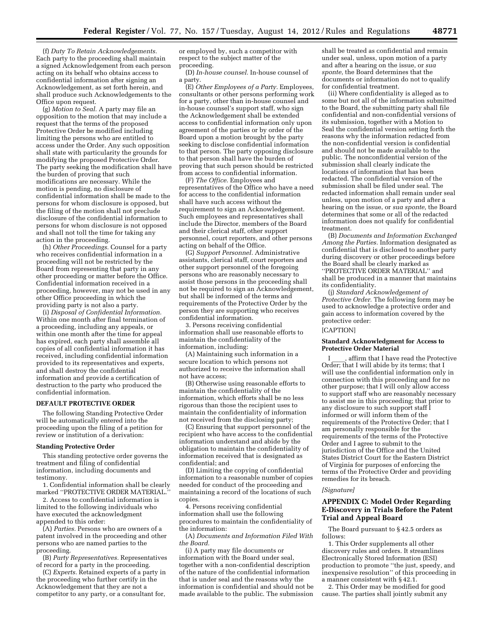(f) *Duty To Retain Acknowledgements.*  Each party to the proceeding shall maintain a signed Acknowledgement from each person acting on its behalf who obtains access to confidential information after signing an Acknowledgement, as set forth herein, and shall produce such Acknowledgements to the Office upon request.

(g) *Motion to Seal.* A party may file an opposition to the motion that may include a request that the terms of the proposed Protective Order be modified including limiting the persons who are entitled to access under the Order. Any such opposition shall state with particularity the grounds for modifying the proposed Protective Order. The party seeking the modification shall have the burden of proving that such modifications are necessary. While the motion is pending, no disclosure of confidential information shall be made to the persons for whom disclosure is opposed, but the filing of the motion shall not preclude disclosure of the confidential information to persons for whom disclosure is not opposed and shall not toll the time for taking any action in the proceeding.

(h) *Other Proceedings.* Counsel for a party who receives confidential information in a proceeding will not be restricted by the Board from representing that party in any other proceeding or matter before the Office. Confidential information received in a proceeding, however, may not be used in any other Office proceeding in which the providing party is not also a party.

(i) *Disposal of Confidential Information.*  Within one month after final termination of a proceeding, including any appeals, or within one month after the time for appeal has expired, each party shall assemble all copies of all confidential information it has received, including confidential information provided to its representatives and experts, and shall destroy the confidential information and provide a certification of destruction to the party who produced the confidential information.

#### **DEFAULT PROTECTIVE ORDER**

The following Standing Protective Order will be automatically entered into the proceeding upon the filing of a petition for review or institution of a derivation:

# **Standing Protective Order**

This standing protective order governs the treatment and filing of confidential information, including documents and testimony.

1. Confidential information shall be clearly marked "PROTECTIVE ORDER MATERIAL.

2. Access to confidential information is limited to the following individuals who have executed the acknowledgment appended to this order:

(A) *Parties.* Persons who are owners of a patent involved in the proceeding and other persons who are named parties to the proceeding.

(B) *Party Representatives.* Representatives of record for a party in the proceeding.

(C) *Experts.* Retained experts of a party in the proceeding who further certify in the Acknowledgement that they are not a competitor to any party, or a consultant for,

or employed by, such a competitor with respect to the subject matter of the proceeding.

(D) *In-house counsel.* In-house counsel of a party.

(E) *Other Employees of a Party.* Employees, consultants or other persons performing work for a party, other than in-house counsel and in-house counsel's support staff, who sign the Acknowledgement shall be extended access to confidential information only upon agreement of the parties or by order of the Board upon a motion brought by the party seeking to disclose confidential information to that person. The party opposing disclosure to that person shall have the burden of proving that such person should be restricted from access to confidential information.

(F) *The Office.* Employees and representatives of the Office who have a need for access to the confidential information shall have such access without the requirement to sign an Acknowledgement. Such employees and representatives shall include the Director, members of the Board and their clerical staff, other support personnel, court reporters, and other persons acting on behalf of the Office.

(G) *Support Personnel.* Administrative assistants, clerical staff, court reporters and other support personnel of the foregoing persons who are reasonably necessary to assist those persons in the proceeding shall not be required to sign an Acknowledgement, but shall be informed of the terms and requirements of the Protective Order by the person they are supporting who receives confidential information.

3. Persons receiving confidential information shall use reasonable efforts to maintain the confidentiality of the information, including:

(A) Maintaining such information in a secure location to which persons not authorized to receive the information shall not have access;

(B) Otherwise using reasonable efforts to maintain the confidentiality of the information, which efforts shall be no less rigorous than those the recipient uses to maintain the confidentiality of information not received from the disclosing party;

(C) Ensuring that support personnel of the recipient who have access to the confidential information understand and abide by the obligation to maintain the confidentiality of information received that is designated as confidential; and

(D) Limiting the copying of confidential information to a reasonable number of copies needed for conduct of the proceeding and maintaining a record of the locations of such copies.

4. Persons receiving confidential information shall use the following procedures to maintain the confidentiality of the information:

(A) *Documents and Information Filed With the Board.* 

(i) A party may file documents or information with the Board under seal, together with a non-confidential description of the nature of the confidential information that is under seal and the reasons why the information is confidential and should not be made available to the public. The submission

shall be treated as confidential and remain under seal, unless, upon motion of a party and after a hearing on the issue, or *sua sponte,* the Board determines that the documents or information do not to qualify for confidential treatment.

(ii) Where confidentiality is alleged as to some but not all of the information submitted to the Board, the submitting party shall file confidential and non-confidential versions of its submission, together with a Motion to Seal the confidential version setting forth the reasons why the information redacted from the non-confidential version is confidential and should not be made available to the public. The nonconfidential version of the submission shall clearly indicate the locations of information that has been redacted. The confidential version of the submission shall be filed under seal. The redacted information shall remain under seal unless, upon motion of a party and after a hearing on the issue, or *sua sponte,* the Board determines that some or all of the redacted information does not qualify for confidential treatment.

(B) *Documents and Information Exchanged Among the Parties.* Information designated as confidential that is disclosed to another party during discovery or other proceedings before the Board shall be clearly marked as ''PROTECTIVE ORDER MATERIAL'' and shall be produced in a manner that maintains its confidentiality.

(j) *Standard Acknowledgement of Protective Order.* The following form may be used to acknowledge a protective order and gain access to information covered by the protective order: [CAPTION]

# **Standard Acknowledgment for Access to Protective Order Material**

I \_\_\_\_, affirm that I have read the Protective Order; that I will abide by its terms; that I will use the confidential information only in connection with this proceeding and for no other purpose; that I will only allow access to support staff who are reasonably necessary to assist me in this proceeding; that prior to any disclosure to such support staff I informed or will inform them of the requirements of the Protective Order; that I am personally responsible for the requirements of the terms of the Protective Order and I agree to submit to the jurisdiction of the Office and the United States District Court for the Eastern District of Virginia for purposes of enforcing the terms of the Protective Order and providing remedies for its breach.

#### *[Signature]*

# **APPENDIX C: Model Order Regarding E-Discovery in Trials Before the Patent Trial and Appeal Board**

The Board pursuant to § 42.5 orders as follows:

1. This Order supplements all other discovery rules and orders. It streamlines Electronically Stored Information (ESI) production to promote ''the just, speedy, and inexpensive resolution'' of this proceeding in a manner consistent with § 42.1.

2. This Order may be modified for good cause. The parties shall jointly submit any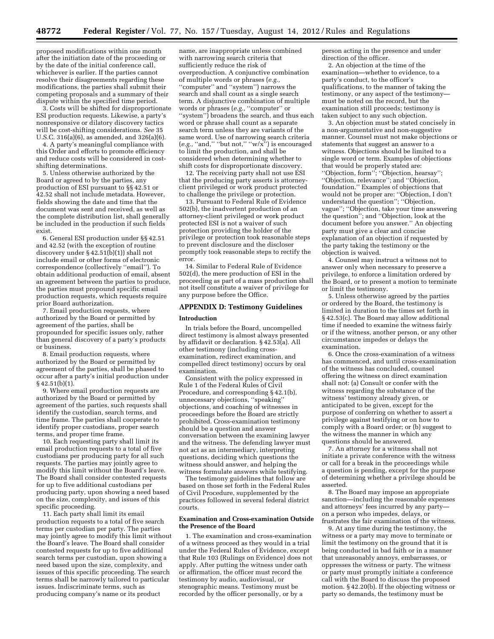proposed modifications within one month after the initiation date of the proceeding or by the date of the initial conference call, whichever is earlier. If the parties cannot resolve their disagreements regarding these modifications, the parties shall submit their competing proposals and a summary of their dispute within the specified time period.

3. Costs will be shifted for disproportionate ESI production requests. Likewise, a party's nonresponsive or dilatory discovery tactics will be cost-shifting considerations. *See* 35 U.S.C. 316(a)(6), as amended, and 326(a)(6).

4. A party's meaningful compliance with this Order and efforts to promote efficiency and reduce costs will be considered in costshifting determinations.

5. Unless otherwise authorized by the Board or agreed to by the parties, any production of ESI pursuant to §§ 42.51 or 42.52 shall not include metadata. However, fields showing the date and time that the document was sent and received, as well as the complete distribution list, shall generally be included in the production if such fields exist.

6. General ESI production under §§ 42.51 and 42.52 (with the exception of routine discovery under § 42.51(b)(1)) shall not include email or other forms of electronic correspondence (collectively ''email''). To obtain additional production of email, absent an agreement between the parties to produce, the parties must propound specific email production requests, which requests require prior Board authorization.

7. Email production requests, where authorized by the Board or permitted by agreement of the parties, shall be propounded for specific issues only, rather than general discovery of a party's products or business.

8. Email production requests, where authorized by the Board or permitted by agreement of the parties, shall be phased to occur after a party's initial production under  $§$  42.51(b)(1).

9. Where email production requests are authorized by the Board or permitted by agreement of the parties, such requests shall identify the custodian, search terms, and time frame. The parties shall cooperate to identify proper custodians, proper search terms, and proper time frame.

10. Each requesting party shall limit its email production requests to a total of five custodians per producing party for all such requests. The parties may jointly agree to modify this limit without the Board's leave. The Board shall consider contested requests for up to five additional custodians per producing party, upon showing a need based on the size, complexity, and issues of this specific proceeding.

11. Each party shall limit its email production requests to a total of five search terms per custodian per party. The parties may jointly agree to modify this limit without the Board's leave. The Board shall consider contested requests for up to five additional search terms per custodian, upon showing a need based upon the size, complexity, and issues of this specific proceeding. The search terms shall be narrowly tailored to particular issues. Indiscriminate terms, such as producing company's name or its product

name, are inappropriate unless combined with narrowing search criteria that sufficiently reduce the risk of overproduction. A conjunctive combination of multiple words or phrases (*e.g.,*  ''computer'' and ''system'') narrows the search and shall count as a single search term. A disjunctive combination of multiple words or phrases (*e.g.,* ''computer'' or ''system'') broadens the search, and thus each word or phrase shall count as a separate search term unless they are variants of the same word. Use of narrowing search criteria (*e.g.,* ''and,'' ''but not,'' ''w/x'') is encouraged to limit the production, and shall be considered when determining whether to shift costs for disproportionate discovery.

12. The receiving party shall not use ESI that the producing party asserts is attorneyclient privileged or work product protected to challenge the privilege or protection.

13. Pursuant to Federal Rule of Evidence 502(b), the inadvertent production of an attorney-client privileged or work product protected ESI is not a waiver of such protection providing the holder of the privilege or protection took reasonable steps to prevent disclosure and the discloser promptly took reasonable steps to rectify the error.

14. Similar to Federal Rule of Evidence 502(d), the mere production of ESI in the proceeding as part of a mass production shall not itself constitute a waiver of privilege for any purpose before the Office.

# **APPENDIX D: Testimony Guidelines**

#### **Introduction**

In trials before the Board, uncompelled direct testimony is almost always presented by affidavit or declaration. § 42.53(a). All other testimony (including crossexamination, redirect examination, and compelled direct testimony) occurs by oral examination.

Consistent with the policy expressed in Rule 1 of the Federal Rules of Civil Procedure, and corresponding § 42.1(b), unnecessary objections, ''speaking'' objections, and coaching of witnesses in proceedings before the Board are strictly prohibited. Cross-examination testimony should be a question and answer conversation between the examining lawyer and the witness. The defending lawyer must not act as an intermediary, interpreting questions, deciding which questions the witness should answer, and helping the witness formulate answers while testifying.

The testimony guidelines that follow are based on those set forth in the Federal Rules of Civil Procedure, supplemented by the practices followed in several federal district courts.

# **Examination and Cross-examination Outside the Presence of the Board**

1. The examination and cross-examination of a witness proceed as they would in a trial under the Federal Rules of Evidence, except that Rule 103 (Rulings on Evidence) does not apply. After putting the witness under oath or affirmation, the officer must record the testimony by audio, audiovisual, or stenographic means. Testimony must be recorded by the officer personally, or by a

person acting in the presence and under direction of the officer.

2. An objection at the time of the examination—whether to evidence, to a party's conduct, to the officer's qualifications, to the manner of taking the testimony, or any aspect of the testimony must be noted on the record, but the examination still proceeds; testimony is taken subject to any such objection.

3. An objection must be stated concisely in a non-argumentative and non-suggestive manner. Counsel must not make objections or statements that suggest an answer to a witness. Objections should be limited to a single word or term. Examples of objections that would be properly stated are: ''Objection, form''; ''Objection, hearsay''; ''Objection, relevance''; and ''Objection, foundation.'' Examples of objections that would not be proper are: ''Objection, I don't understand the question''; ''Objection, vague''; ''Objection, take your time answering the question''; and ''Objection, look at the document before you answer.'' An objecting party must give a clear and concise explanation of an objection if requested by the party taking the testimony or the objection is waived.

4. Counsel may instruct a witness not to answer only when necessary to preserve a privilege, to enforce a limitation ordered by the Board, or to present a motion to terminate or limit the testimony.

5. Unless otherwise agreed by the parties or ordered by the Board, the testimony is limited in duration to the times set forth in § 42.53(c). The Board may allow additional time if needed to examine the witness fairly or if the witness, another person, or any other circumstance impedes or delays the examination.

6. Once the cross-examination of a witness has commenced, and until cross-examination of the witness has concluded, counsel offering the witness on direct examination shall not: (a) Consult or confer with the witness regarding the substance of the witness' testimony already given, or anticipated to be given, except for the purpose of conferring on whether to assert a privilege against testifying or on how to comply with a Board order; or (b) suggest to the witness the manner in which any questions should be answered.

7. An attorney for a witness shall not initiate a private conference with the witness or call for a break in the proceedings while a question is pending, except for the purpose of determining whether a privilege should be asserted.

8. The Board may impose an appropriate sanction—including the reasonable expenses and attorneys' fees incurred by any party on a person who impedes, delays, or frustrates the fair examination of the witness.

9. At any time during the testimony, the witness or a party may move to terminate or limit the testimony on the ground that it is being conducted in bad faith or in a manner that unreasonably annoys, embarrasses, or oppresses the witness or party. The witness or party must promptly initiate a conference call with the Board to discuss the proposed motion. § 42.20(b). If the objecting witness or party so demands, the testimony must be